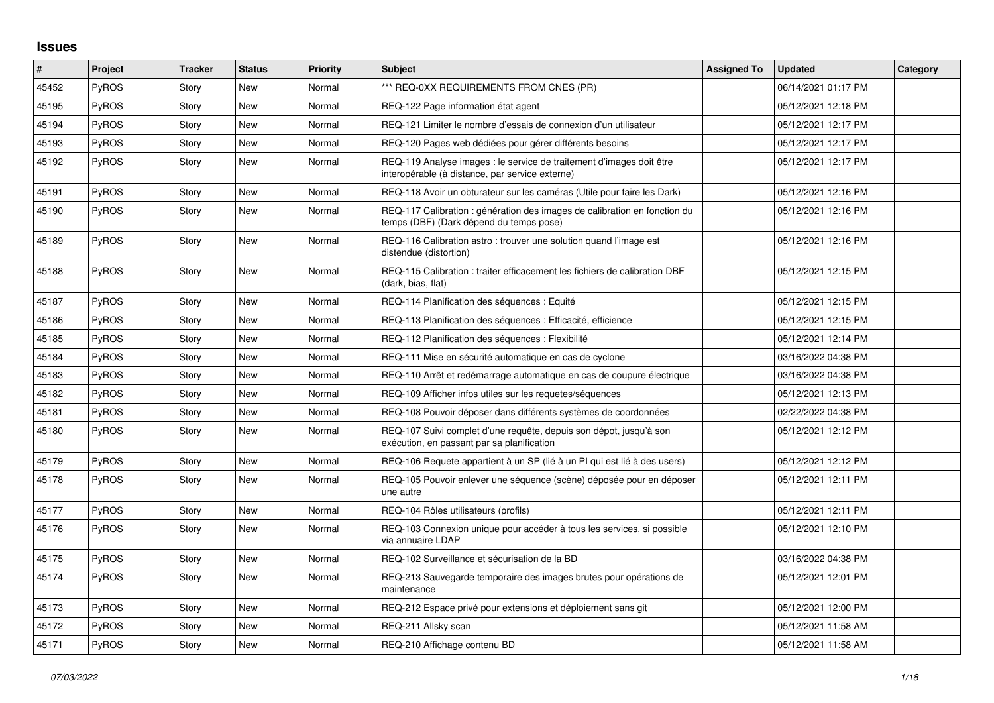## **Issues**

| #     | Project      | <b>Tracker</b> | <b>Status</b> | <b>Priority</b> | <b>Subject</b>                                                                                                          | <b>Assigned To</b> | <b>Updated</b>      | Category |
|-------|--------------|----------------|---------------|-----------------|-------------------------------------------------------------------------------------------------------------------------|--------------------|---------------------|----------|
| 45452 | PyROS        | Story          | <b>New</b>    | Normal          | *** REQ-0XX REQUIREMENTS FROM CNES (PR)                                                                                 |                    | 06/14/2021 01:17 PM |          |
| 45195 | PyROS        | Story          | <b>New</b>    | Normal          | REQ-122 Page information état agent                                                                                     |                    | 05/12/2021 12:18 PM |          |
| 45194 | <b>PyROS</b> | Story          | <b>New</b>    | Normal          | REQ-121 Limiter le nombre d'essais de connexion d'un utilisateur                                                        |                    | 05/12/2021 12:17 PM |          |
| 45193 | PyROS        | Story          | <b>New</b>    | Normal          | REQ-120 Pages web dédiées pour gérer différents besoins                                                                 |                    | 05/12/2021 12:17 PM |          |
| 45192 | PyROS        | Story          | <b>New</b>    | Normal          | REQ-119 Analyse images : le service de traitement d'images doit être<br>interopérable (à distance, par service externe) |                    | 05/12/2021 12:17 PM |          |
| 45191 | PyROS        | Story          | <b>New</b>    | Normal          | REQ-118 Avoir un obturateur sur les caméras (Utile pour faire les Dark)                                                 |                    | 05/12/2021 12:16 PM |          |
| 45190 | PyROS        | Story          | New           | Normal          | REQ-117 Calibration : génération des images de calibration en fonction du<br>temps (DBF) (Dark dépend du temps pose)    |                    | 05/12/2021 12:16 PM |          |
| 45189 | <b>PyROS</b> | Story          | <b>New</b>    | Normal          | REQ-116 Calibration astro: trouver une solution quand l'image est<br>distendue (distortion)                             |                    | 05/12/2021 12:16 PM |          |
| 45188 | <b>PyROS</b> | Story          | <b>New</b>    | Normal          | REQ-115 Calibration: traiter efficacement les fichiers de calibration DBF<br>(dark, bias, flat)                         |                    | 05/12/2021 12:15 PM |          |
| 45187 | <b>PyROS</b> | Story          | <b>New</b>    | Normal          | REQ-114 Planification des séquences : Equité                                                                            |                    | 05/12/2021 12:15 PM |          |
| 45186 | PyROS        | Story          | New           | Normal          | REQ-113 Planification des séquences : Efficacité, efficience                                                            |                    | 05/12/2021 12:15 PM |          |
| 45185 | <b>PyROS</b> | Story          | <b>New</b>    | Normal          | REQ-112 Planification des séquences : Flexibilité                                                                       |                    | 05/12/2021 12:14 PM |          |
| 45184 | PyROS        | Story          | <b>New</b>    | Normal          | REQ-111 Mise en sécurité automatique en cas de cyclone                                                                  |                    | 03/16/2022 04:38 PM |          |
| 45183 | PyROS        | Story          | <b>New</b>    | Normal          | REQ-110 Arrêt et redémarrage automatique en cas de coupure électrique                                                   |                    | 03/16/2022 04:38 PM |          |
| 45182 | <b>PyROS</b> | Story          | <b>New</b>    | Normal          | REQ-109 Afficher infos utiles sur les requetes/séquences                                                                |                    | 05/12/2021 12:13 PM |          |
| 45181 | PyROS        | Story          | New           | Normal          | REQ-108 Pouvoir déposer dans différents systèmes de coordonnées                                                         |                    | 02/22/2022 04:38 PM |          |
| 45180 | <b>PyROS</b> | Story          | New           | Normal          | REQ-107 Suivi complet d'une requête, depuis son dépot, jusqu'à son<br>exécution, en passant par sa planification        |                    | 05/12/2021 12:12 PM |          |
| 45179 | <b>PyROS</b> | Story          | <b>New</b>    | Normal          | REQ-106 Requete appartient à un SP (lié à un PI qui est lié à des users)                                                |                    | 05/12/2021 12:12 PM |          |
| 45178 | PyROS        | Story          | New           | Normal          | REQ-105 Pouvoir enlever une séquence (scène) déposée pour en déposer<br>une autre                                       |                    | 05/12/2021 12:11 PM |          |
| 45177 | PyROS        | Story          | <b>New</b>    | Normal          | REQ-104 Rôles utilisateurs (profils)                                                                                    |                    | 05/12/2021 12:11 PM |          |
| 45176 | <b>PyROS</b> | Story          | <b>New</b>    | Normal          | REQ-103 Connexion unique pour accéder à tous les services, si possible<br>via annuaire LDAP                             |                    | 05/12/2021 12:10 PM |          |
| 45175 | PyROS        | Story          | <b>New</b>    | Normal          | REQ-102 Surveillance et sécurisation de la BD                                                                           |                    | 03/16/2022 04:38 PM |          |
| 45174 | <b>PyROS</b> | Story          | <b>New</b>    | Normal          | REQ-213 Sauvegarde temporaire des images brutes pour opérations de<br>maintenance                                       |                    | 05/12/2021 12:01 PM |          |
| 45173 | <b>PyROS</b> | Story          | <b>New</b>    | Normal          | REQ-212 Espace privé pour extensions et déploiement sans git                                                            |                    | 05/12/2021 12:00 PM |          |
| 45172 | PyROS        | Story          | <b>New</b>    | Normal          | REQ-211 Allsky scan                                                                                                     |                    | 05/12/2021 11:58 AM |          |
| 45171 | <b>PyROS</b> | Story          | New           | Normal          | REQ-210 Affichage contenu BD                                                                                            |                    | 05/12/2021 11:58 AM |          |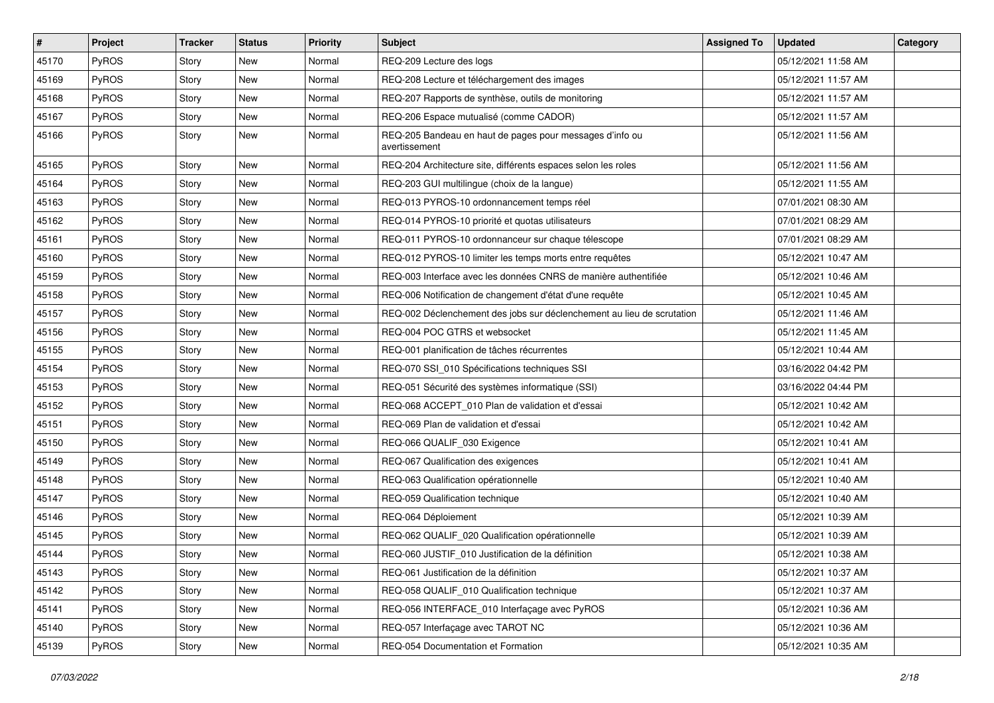| #     | Project      | <b>Tracker</b> | <b>Status</b> | Priority | <b>Subject</b>                                                            | <b>Assigned To</b> | <b>Updated</b>      | Category |
|-------|--------------|----------------|---------------|----------|---------------------------------------------------------------------------|--------------------|---------------------|----------|
| 45170 | PyROS        | Story          | New           | Normal   | REQ-209 Lecture des logs                                                  |                    | 05/12/2021 11:58 AM |          |
| 45169 | PyROS        | Story          | New           | Normal   | REQ-208 Lecture et téléchargement des images                              |                    | 05/12/2021 11:57 AM |          |
| 45168 | PyROS        | Story          | New           | Normal   | REQ-207 Rapports de synthèse, outils de monitoring                        |                    | 05/12/2021 11:57 AM |          |
| 45167 | PyROS        | Story          | New           | Normal   | REQ-206 Espace mutualisé (comme CADOR)                                    |                    | 05/12/2021 11:57 AM |          |
| 45166 | PyROS        | Story          | New           | Normal   | REQ-205 Bandeau en haut de pages pour messages d'info ou<br>avertissement |                    | 05/12/2021 11:56 AM |          |
| 45165 | PyROS        | Story          | New           | Normal   | REQ-204 Architecture site, différents espaces selon les roles             |                    | 05/12/2021 11:56 AM |          |
| 45164 | PyROS        | Story          | New           | Normal   | REQ-203 GUI multilingue (choix de la langue)                              |                    | 05/12/2021 11:55 AM |          |
| 45163 | PyROS        | Story          | New           | Normal   | REQ-013 PYROS-10 ordonnancement temps réel                                |                    | 07/01/2021 08:30 AM |          |
| 45162 | PyROS        | Story          | New           | Normal   | REQ-014 PYROS-10 priorité et quotas utilisateurs                          |                    | 07/01/2021 08:29 AM |          |
| 45161 | PyROS        | Story          | New           | Normal   | REQ-011 PYROS-10 ordonnanceur sur chaque télescope                        |                    | 07/01/2021 08:29 AM |          |
| 45160 | PyROS        | Story          | New           | Normal   | REQ-012 PYROS-10 limiter les temps morts entre requêtes                   |                    | 05/12/2021 10:47 AM |          |
| 45159 | PyROS        | Story          | New           | Normal   | REQ-003 Interface avec les données CNRS de manière authentifiée           |                    | 05/12/2021 10:46 AM |          |
| 45158 | PyROS        | Story          | New           | Normal   | REQ-006 Notification de changement d'état d'une requête                   |                    | 05/12/2021 10:45 AM |          |
| 45157 | PyROS        | Story          | New           | Normal   | REQ-002 Déclenchement des jobs sur déclenchement au lieu de scrutation    |                    | 05/12/2021 11:46 AM |          |
| 45156 | PyROS        | Story          | New           | Normal   | REQ-004 POC GTRS et websocket                                             |                    | 05/12/2021 11:45 AM |          |
| 45155 | PyROS        | Story          | New           | Normal   | REQ-001 planification de tâches récurrentes                               |                    | 05/12/2021 10:44 AM |          |
| 45154 | PyROS        | Story          | New           | Normal   | REQ-070 SSI_010 Spécifications techniques SSI                             |                    | 03/16/2022 04:42 PM |          |
| 45153 | PyROS        | Story          | New           | Normal   | REQ-051 Sécurité des systèmes informatique (SSI)                          |                    | 03/16/2022 04:44 PM |          |
| 45152 | PyROS        | Story          | New           | Normal   | REQ-068 ACCEPT_010 Plan de validation et d'essai                          |                    | 05/12/2021 10:42 AM |          |
| 45151 | <b>PyROS</b> | Story          | New           | Normal   | REQ-069 Plan de validation et d'essai                                     |                    | 05/12/2021 10:42 AM |          |
| 45150 | PyROS        | Story          | New           | Normal   | REQ-066 QUALIF_030 Exigence                                               |                    | 05/12/2021 10:41 AM |          |
| 45149 | PyROS        | Story          | New           | Normal   | REQ-067 Qualification des exigences                                       |                    | 05/12/2021 10:41 AM |          |
| 45148 | PyROS        | Story          | New           | Normal   | REQ-063 Qualification opérationnelle                                      |                    | 05/12/2021 10:40 AM |          |
| 45147 | PyROS        | Story          | <b>New</b>    | Normal   | REQ-059 Qualification technique                                           |                    | 05/12/2021 10:40 AM |          |
| 45146 | PyROS        | Story          | New           | Normal   | REQ-064 Déploiement                                                       |                    | 05/12/2021 10:39 AM |          |
| 45145 | PyROS        | Story          | New           | Normal   | REQ-062 QUALIF_020 Qualification opérationnelle                           |                    | 05/12/2021 10:39 AM |          |
| 45144 | PyROS        | Story          | <b>New</b>    | Normal   | REQ-060 JUSTIF_010 Justification de la définition                         |                    | 05/12/2021 10:38 AM |          |
| 45143 | PyROS        | Story          | New           | Normal   | REQ-061 Justification de la définition                                    |                    | 05/12/2021 10:37 AM |          |
| 45142 | PyROS        | Story          | New           | Normal   | REQ-058 QUALIF_010 Qualification technique                                |                    | 05/12/2021 10:37 AM |          |
| 45141 | PyROS        | Story          | New           | Normal   | REQ-056 INTERFACE 010 Interfaçage avec PyROS                              |                    | 05/12/2021 10:36 AM |          |
| 45140 | PyROS        | Story          | New           | Normal   | REQ-057 Interfaçage avec TAROT NC                                         |                    | 05/12/2021 10:36 AM |          |
| 45139 | PyROS        | Story          | New           | Normal   | REQ-054 Documentation et Formation                                        |                    | 05/12/2021 10:35 AM |          |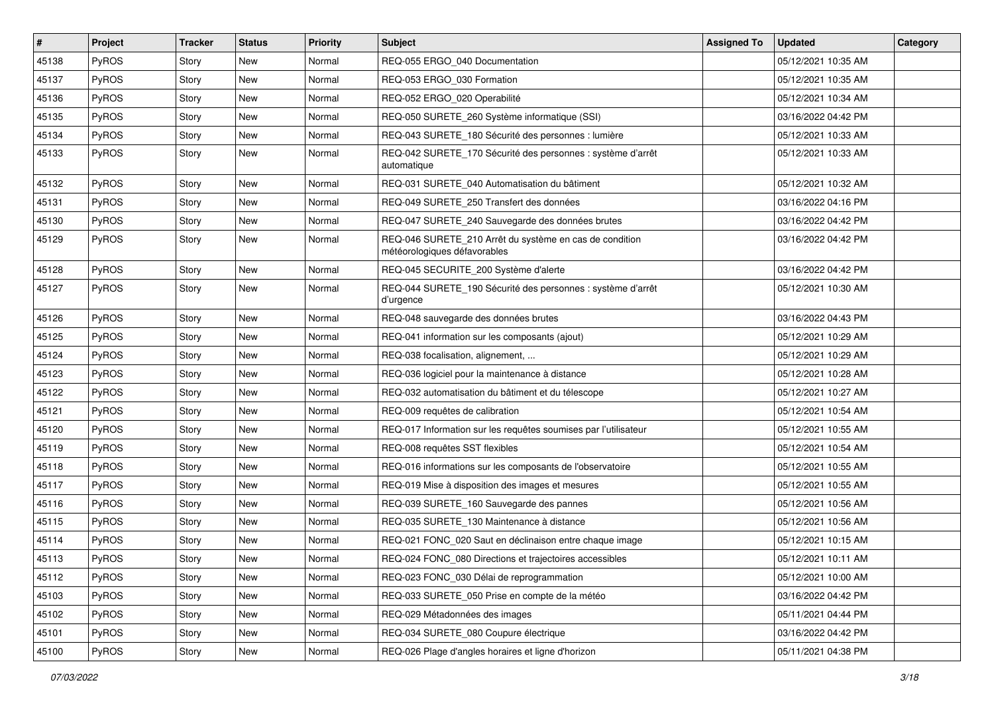| #     | Project      | <b>Tracker</b> | <b>Status</b> | Priority | <b>Subject</b>                                                                          | <b>Assigned To</b> | <b>Updated</b>      | Category |
|-------|--------------|----------------|---------------|----------|-----------------------------------------------------------------------------------------|--------------------|---------------------|----------|
| 45138 | PyROS        | Story          | <b>New</b>    | Normal   | REQ-055 ERGO_040 Documentation                                                          |                    | 05/12/2021 10:35 AM |          |
| 45137 | PyROS        | Story          | New           | Normal   | REQ-053 ERGO_030 Formation                                                              |                    | 05/12/2021 10:35 AM |          |
| 45136 | <b>PyROS</b> | Story          | New           | Normal   | REQ-052 ERGO_020 Operabilité                                                            |                    | 05/12/2021 10:34 AM |          |
| 45135 | PyROS        | Story          | New           | Normal   | REQ-050 SURETE_260 Système informatique (SSI)                                           |                    | 03/16/2022 04:42 PM |          |
| 45134 | <b>PyROS</b> | Story          | New           | Normal   | REQ-043 SURETE_180 Sécurité des personnes : lumière                                     |                    | 05/12/2021 10:33 AM |          |
| 45133 | PyROS        | Story          | New           | Normal   | REQ-042 SURETE_170 Sécurité des personnes : système d'arrêt<br>automatique              |                    | 05/12/2021 10:33 AM |          |
| 45132 | PyROS        | Story          | New           | Normal   | REQ-031 SURETE 040 Automatisation du bâtiment                                           |                    | 05/12/2021 10:32 AM |          |
| 45131 | PyROS        | Story          | New           | Normal   | REQ-049 SURETE 250 Transfert des données                                                |                    | 03/16/2022 04:16 PM |          |
| 45130 | PyROS        | Story          | New           | Normal   | REQ-047 SURETE_240 Sauvegarde des données brutes                                        |                    | 03/16/2022 04:42 PM |          |
| 45129 | PyROS        | Story          | New           | Normal   | REQ-046 SURETE_210 Arrêt du système en cas de condition<br>météorologiques défavorables |                    | 03/16/2022 04:42 PM |          |
| 45128 | PyROS        | Story          | New           | Normal   | REQ-045 SECURITE_200 Système d'alerte                                                   |                    | 03/16/2022 04:42 PM |          |
| 45127 | PyROS        | Story          | New           | Normal   | REQ-044 SURETE_190 Sécurité des personnes : système d'arrêt<br>d'urgence                |                    | 05/12/2021 10:30 AM |          |
| 45126 | PyROS        | Story          | New           | Normal   | REQ-048 sauvegarde des données brutes                                                   |                    | 03/16/2022 04:43 PM |          |
| 45125 | PyROS        | Story          | New           | Normal   | REQ-041 information sur les composants (ajout)                                          |                    | 05/12/2021 10:29 AM |          |
| 45124 | PyROS        | Story          | New           | Normal   | REQ-038 focalisation, alignement,                                                       |                    | 05/12/2021 10:29 AM |          |
| 45123 | PyROS        | Story          | New           | Normal   | REQ-036 logiciel pour la maintenance à distance                                         |                    | 05/12/2021 10:28 AM |          |
| 45122 | PyROS        | Story          | New           | Normal   | REQ-032 automatisation du bâtiment et du télescope                                      |                    | 05/12/2021 10:27 AM |          |
| 45121 | PyROS        | Story          | New           | Normal   | REQ-009 requêtes de calibration                                                         |                    | 05/12/2021 10:54 AM |          |
| 45120 | PyROS        | Story          | <b>New</b>    | Normal   | REQ-017 Information sur les requêtes soumises par l'utilisateur                         |                    | 05/12/2021 10:55 AM |          |
| 45119 | PyROS        | Story          | New           | Normal   | REQ-008 requêtes SST flexibles                                                          |                    | 05/12/2021 10:54 AM |          |
| 45118 | <b>PyROS</b> | Story          | New           | Normal   | REQ-016 informations sur les composants de l'observatoire                               |                    | 05/12/2021 10:55 AM |          |
| 45117 | PyROS        | Story          | New           | Normal   | REQ-019 Mise à disposition des images et mesures                                        |                    | 05/12/2021 10:55 AM |          |
| 45116 | PyROS        | Story          | New           | Normal   | REQ-039 SURETE 160 Sauvegarde des pannes                                                |                    | 05/12/2021 10:56 AM |          |
| 45115 | PyROS        | Story          | New           | Normal   | REQ-035 SURETE_130 Maintenance à distance                                               |                    | 05/12/2021 10:56 AM |          |
| 45114 | PyROS        | Story          | <b>New</b>    | Normal   | REQ-021 FONC 020 Saut en déclinaison entre chaque image                                 |                    | 05/12/2021 10:15 AM |          |
| 45113 | PyROS        | Story          | New           | Normal   | REQ-024 FONC_080 Directions et trajectoires accessibles                                 |                    | 05/12/2021 10:11 AM |          |
| 45112 | PyROS        | Story          | New           | Normal   | REQ-023 FONC 030 Délai de reprogrammation                                               |                    | 05/12/2021 10:00 AM |          |
| 45103 | PyROS        | Story          | New           | Normal   | REQ-033 SURETE_050 Prise en compte de la météo                                          |                    | 03/16/2022 04:42 PM |          |
| 45102 | PyROS        | Story          | New           | Normal   | REQ-029 Métadonnées des images                                                          |                    | 05/11/2021 04:44 PM |          |
| 45101 | PyROS        | Story          | New           | Normal   | REQ-034 SURETE 080 Coupure électrique                                                   |                    | 03/16/2022 04:42 PM |          |
| 45100 | PyROS        | Story          | New           | Normal   | REQ-026 Plage d'angles horaires et ligne d'horizon                                      |                    | 05/11/2021 04:38 PM |          |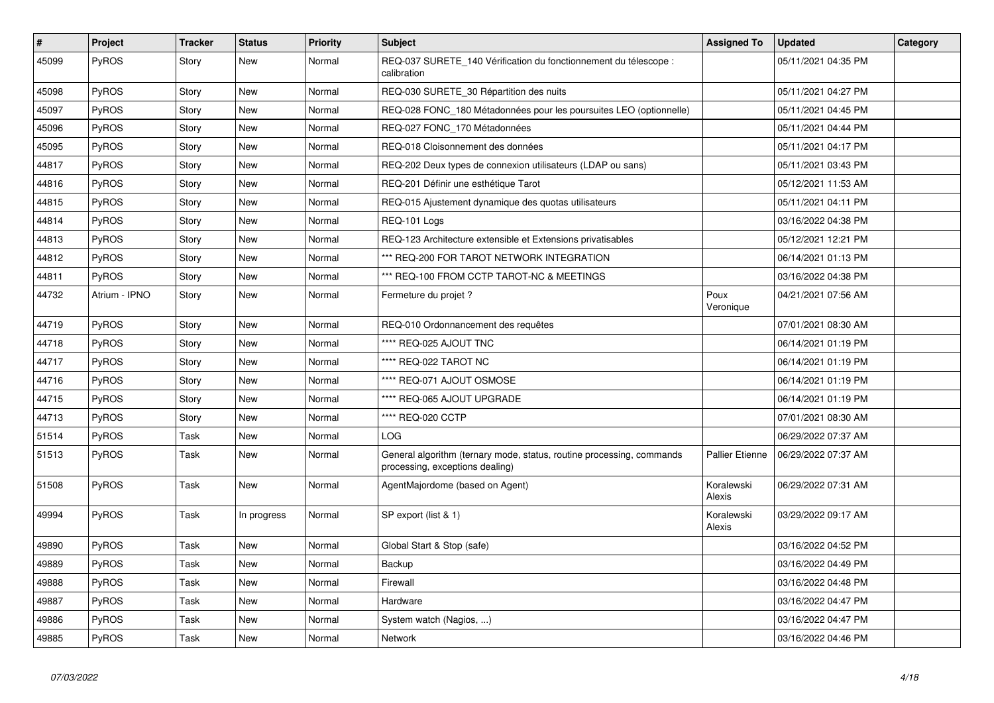| $\vert$ # | <b>Project</b> | <b>Tracker</b> | <b>Status</b> | <b>Priority</b> | <b>Subject</b>                                                                                           | <b>Assigned To</b>     | <b>Updated</b>      | Category |
|-----------|----------------|----------------|---------------|-----------------|----------------------------------------------------------------------------------------------------------|------------------------|---------------------|----------|
| 45099     | PyROS          | Story          | New           | Normal          | REQ-037 SURETE 140 Vérification du fonctionnement du télescope :<br>calibration                          |                        | 05/11/2021 04:35 PM |          |
| 45098     | PyROS          | Story          | <b>New</b>    | Normal          | REQ-030 SURETE_30 Répartition des nuits                                                                  |                        | 05/11/2021 04:27 PM |          |
| 45097     | PyROS          | Story          | <b>New</b>    | Normal          | REQ-028 FONC 180 Métadonnées pour les poursuites LEO (optionnelle)                                       |                        | 05/11/2021 04:45 PM |          |
| 45096     | PyROS          | Story          | <b>New</b>    | Normal          | REQ-027 FONC_170 Métadonnées                                                                             |                        | 05/11/2021 04:44 PM |          |
| 45095     | PyROS          | Story          | <b>New</b>    | Normal          | REQ-018 Cloisonnement des données                                                                        |                        | 05/11/2021 04:17 PM |          |
| 44817     | PyROS          | Story          | <b>New</b>    | Normal          | REQ-202 Deux types de connexion utilisateurs (LDAP ou sans)                                              |                        | 05/11/2021 03:43 PM |          |
| 44816     | PyROS          | Story          | <b>New</b>    | Normal          | REQ-201 Définir une esthétique Tarot                                                                     |                        | 05/12/2021 11:53 AM |          |
| 44815     | PyROS          | Story          | <b>New</b>    | Normal          | REQ-015 Ajustement dynamique des quotas utilisateurs                                                     |                        | 05/11/2021 04:11 PM |          |
| 44814     | PyROS          | Story          | New           | Normal          | REQ-101 Logs                                                                                             |                        | 03/16/2022 04:38 PM |          |
| 44813     | PyROS          | Story          | <b>New</b>    | Normal          | REQ-123 Architecture extensible et Extensions privatisables                                              |                        | 05/12/2021 12:21 PM |          |
| 44812     | PyROS          | Story          | <b>New</b>    | Normal          | *** REQ-200 FOR TAROT NETWORK INTEGRATION                                                                |                        | 06/14/2021 01:13 PM |          |
| 44811     | PyROS          | Story          | <b>New</b>    | Normal          | *** REQ-100 FROM CCTP TAROT-NC & MEETINGS                                                                |                        | 03/16/2022 04:38 PM |          |
| 44732     | Atrium - IPNO  | Story          | New           | Normal          | Fermeture du projet?                                                                                     | Poux<br>Veronique      | 04/21/2021 07:56 AM |          |
| 44719     | PyROS          | Story          | <b>New</b>    | Normal          | REQ-010 Ordonnancement des requêtes                                                                      |                        | 07/01/2021 08:30 AM |          |
| 44718     | PyROS          | Story          | <b>New</b>    | Normal          | **** REQ-025 AJOUT TNC                                                                                   |                        | 06/14/2021 01:19 PM |          |
| 44717     | PyROS          | Story          | <b>New</b>    | Normal          | **** REQ-022 TAROT NC                                                                                    |                        | 06/14/2021 01:19 PM |          |
| 44716     | PyROS          | Story          | <b>New</b>    | Normal          | **** REQ-071 AJOUT OSMOSE                                                                                |                        | 06/14/2021 01:19 PM |          |
| 44715     | PyROS          | Story          | <b>New</b>    | Normal          | **** REQ-065 AJOUT UPGRADE                                                                               |                        | 06/14/2021 01:19 PM |          |
| 44713     | PyROS          | Story          | New           | Normal          | **** REQ-020 CCTP                                                                                        |                        | 07/01/2021 08:30 AM |          |
| 51514     | PyROS          | Task           | <b>New</b>    | Normal          | LOG.                                                                                                     |                        | 06/29/2022 07:37 AM |          |
| 51513     | PyROS          | Task           | <b>New</b>    | Normal          | General algorithm (ternary mode, status, routine processing, commands<br>processing, exceptions dealing) | <b>Pallier Etienne</b> | 06/29/2022 07:37 AM |          |
| 51508     | PyROS          | Task           | <b>New</b>    | Normal          | AgentMajordome (based on Agent)                                                                          | Koralewski<br>Alexis   | 06/29/2022 07:31 AM |          |
| 49994     | <b>PyROS</b>   | Task           | In progress   | Normal          | SP export (list & 1)                                                                                     | Koralewski<br>Alexis   | 03/29/2022 09:17 AM |          |
| 49890     | PyROS          | Task           | <b>New</b>    | Normal          | Global Start & Stop (safe)                                                                               |                        | 03/16/2022 04:52 PM |          |
| 49889     | PyROS          | Task           | <b>New</b>    | Normal          | Backup                                                                                                   |                        | 03/16/2022 04:49 PM |          |
| 49888     | PyROS          | Task           | <b>New</b>    | Normal          | Firewall                                                                                                 |                        | 03/16/2022 04:48 PM |          |
| 49887     | <b>PyROS</b>   | Task           | <b>New</b>    | Normal          | Hardware                                                                                                 |                        | 03/16/2022 04:47 PM |          |
| 49886     | PyROS          | Task           | <b>New</b>    | Normal          | System watch (Nagios, )                                                                                  |                        | 03/16/2022 04:47 PM |          |
| 49885     | <b>PyROS</b>   | Task           | New           | Normal          | Network                                                                                                  |                        | 03/16/2022 04:46 PM |          |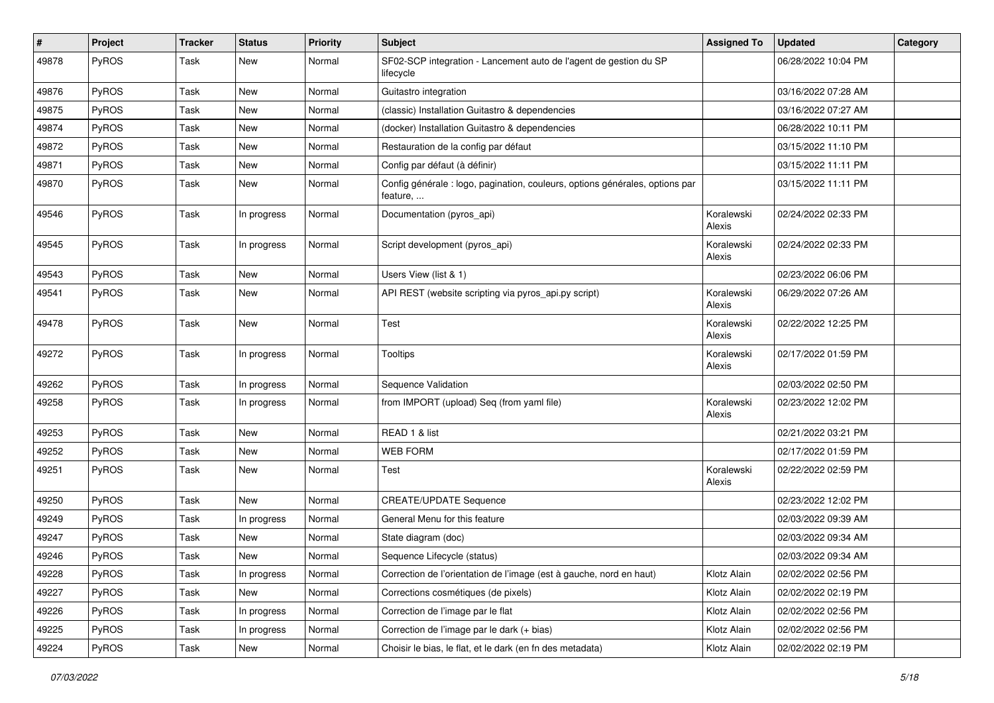| $\sharp$ | Project | <b>Tracker</b> | <b>Status</b> | <b>Priority</b> | <b>Subject</b>                                                                           | <b>Assigned To</b>   | <b>Updated</b>      | Category |
|----------|---------|----------------|---------------|-----------------|------------------------------------------------------------------------------------------|----------------------|---------------------|----------|
| 49878    | PyROS   | Task           | New           | Normal          | SF02-SCP integration - Lancement auto de l'agent de gestion du SP<br>lifecycle           |                      | 06/28/2022 10:04 PM |          |
| 49876    | PyROS   | Task           | New           | Normal          | Guitastro integration                                                                    |                      | 03/16/2022 07:28 AM |          |
| 49875    | PyROS   | Task           | <b>New</b>    | Normal          | (classic) Installation Guitastro & dependencies                                          |                      | 03/16/2022 07:27 AM |          |
| 49874    | PyROS   | Task           | <b>New</b>    | Normal          | (docker) Installation Guitastro & dependencies                                           |                      | 06/28/2022 10:11 PM |          |
| 49872    | PyROS   | Task           | New           | Normal          | Restauration de la config par défaut                                                     |                      | 03/15/2022 11:10 PM |          |
| 49871    | PyROS   | Task           | <b>New</b>    | Normal          | Config par défaut (à définir)                                                            |                      | 03/15/2022 11:11 PM |          |
| 49870    | PyROS   | Task           | New           | Normal          | Config générale : logo, pagination, couleurs, options générales, options par<br>feature, |                      | 03/15/2022 11:11 PM |          |
| 49546    | PyROS   | Task           | In progress   | Normal          | Documentation (pyros_api)                                                                | Koralewski<br>Alexis | 02/24/2022 02:33 PM |          |
| 49545    | PyROS   | Task           | In progress   | Normal          | Script development (pyros_api)                                                           | Koralewski<br>Alexis | 02/24/2022 02:33 PM |          |
| 49543    | PyROS   | Task           | <b>New</b>    | Normal          | Users View (list & 1)                                                                    |                      | 02/23/2022 06:06 PM |          |
| 49541    | PyROS   | Task           | <b>New</b>    | Normal          | API REST (website scripting via pyros_api.py script)                                     | Koralewski<br>Alexis | 06/29/2022 07:26 AM |          |
| 49478    | PyROS   | Task           | New           | Normal          | Test                                                                                     | Koralewski<br>Alexis | 02/22/2022 12:25 PM |          |
| 49272    | PyROS   | Task           | In progress   | Normal          | Tooltips                                                                                 | Koralewski<br>Alexis | 02/17/2022 01:59 PM |          |
| 49262    | PyROS   | Task           | In progress   | Normal          | Sequence Validation                                                                      |                      | 02/03/2022 02:50 PM |          |
| 49258    | PyROS   | Task           | In progress   | Normal          | from IMPORT (upload) Seq (from yaml file)                                                | Koralewski<br>Alexis | 02/23/2022 12:02 PM |          |
| 49253    | PyROS   | Task           | <b>New</b>    | Normal          | READ 1 & list                                                                            |                      | 02/21/2022 03:21 PM |          |
| 49252    | PyROS   | Task           | New           | Normal          | <b>WEB FORM</b>                                                                          |                      | 02/17/2022 01:59 PM |          |
| 49251    | PyROS   | Task           | <b>New</b>    | Normal          | Test                                                                                     | Koralewski<br>Alexis | 02/22/2022 02:59 PM |          |
| 49250    | PyROS   | Task           | <b>New</b>    | Normal          | <b>CREATE/UPDATE Sequence</b>                                                            |                      | 02/23/2022 12:02 PM |          |
| 49249    | PyROS   | Task           | In progress   | Normal          | General Menu for this feature                                                            |                      | 02/03/2022 09:39 AM |          |
| 49247    | PyROS   | Task           | New           | Normal          | State diagram (doc)                                                                      |                      | 02/03/2022 09:34 AM |          |
| 49246    | PyROS   | Task           | New           | Normal          | Sequence Lifecycle (status)                                                              |                      | 02/03/2022 09:34 AM |          |
| 49228    | PyROS   | Task           | In progress   | Normal          | Correction de l'orientation de l'image (est à gauche, nord en haut)                      | Klotz Alain          | 02/02/2022 02:56 PM |          |
| 49227    | PyROS   | Task           | New           | Normal          | Corrections cosmétiques (de pixels)                                                      | Klotz Alain          | 02/02/2022 02:19 PM |          |
| 49226    | PyROS   | Task           | In progress   | Normal          | Correction de l'image par le flat                                                        | Klotz Alain          | 02/02/2022 02:56 PM |          |
| 49225    | PyROS   | Task           | In progress   | Normal          | Correction de l'image par le dark (+ bias)                                               | Klotz Alain          | 02/02/2022 02:56 PM |          |
| 49224    | PyROS   | Task           | New           | Normal          | Choisir le bias, le flat, et le dark (en fn des metadata)                                | Klotz Alain          | 02/02/2022 02:19 PM |          |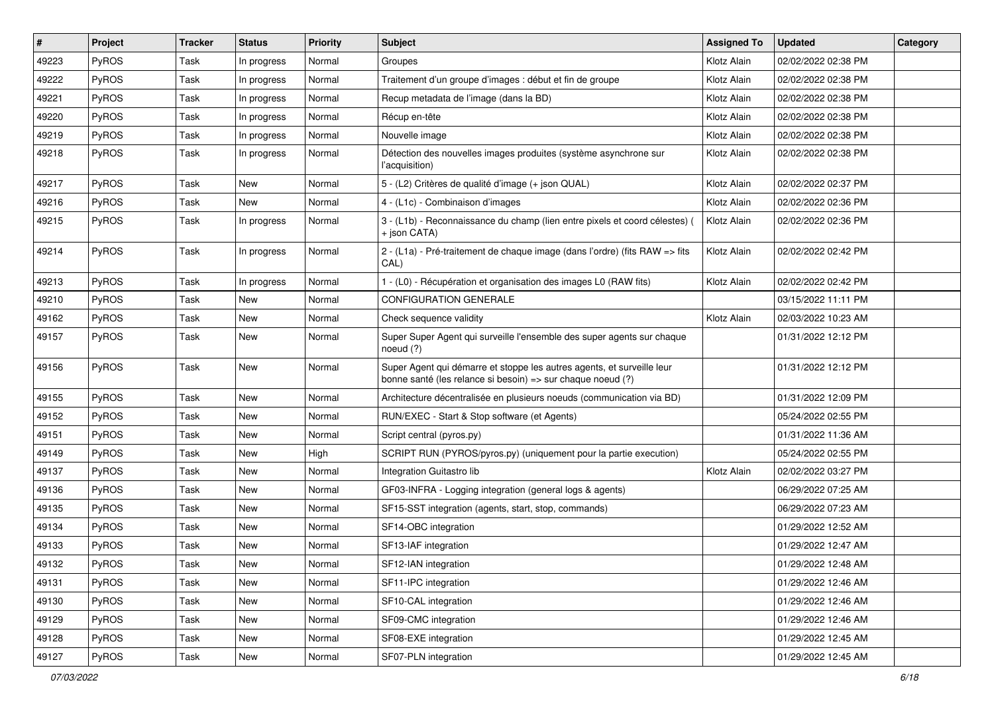| $\sharp$ | Project      | <b>Tracker</b> | <b>Status</b> | <b>Priority</b> | Subject                                                                                                                               | <b>Assigned To</b> | <b>Updated</b>      | Category |
|----------|--------------|----------------|---------------|-----------------|---------------------------------------------------------------------------------------------------------------------------------------|--------------------|---------------------|----------|
| 49223    | PyROS        | Task           | In progress   | Normal          | Groupes                                                                                                                               | Klotz Alain        | 02/02/2022 02:38 PM |          |
| 49222    | PyROS        | Task           | In progress   | Normal          | Traitement d'un groupe d'images : début et fin de groupe                                                                              | Klotz Alain        | 02/02/2022 02:38 PM |          |
| 49221    | <b>PyROS</b> | Task           | In progress   | Normal          | Recup metadata de l'image (dans la BD)                                                                                                | Klotz Alain        | 02/02/2022 02:38 PM |          |
| 49220    | PyROS        | Task           | In progress   | Normal          | Récup en-tête                                                                                                                         | Klotz Alain        | 02/02/2022 02:38 PM |          |
| 49219    | <b>PyROS</b> | Task           | In progress   | Normal          | Nouvelle image                                                                                                                        | Klotz Alain        | 02/02/2022 02:38 PM |          |
| 49218    | PyROS        | Task           | In progress   | Normal          | Détection des nouvelles images produites (système asynchrone sur<br>l'acquisition)                                                    | Klotz Alain        | 02/02/2022 02:38 PM |          |
| 49217    | PyROS        | Task           | New           | Normal          | 5 - (L2) Critères de qualité d'image (+ json QUAL)                                                                                    | Klotz Alain        | 02/02/2022 02:37 PM |          |
| 49216    | PyROS        | Task           | <b>New</b>    | Normal          | 4 - (L1c) - Combinaison d'images                                                                                                      | Klotz Alain        | 02/02/2022 02:36 PM |          |
| 49215    | PyROS        | Task           | In progress   | Normal          | 3 - (L1b) - Reconnaissance du champ (lien entre pixels et coord célestes) (<br>+ json CATA)                                           | Klotz Alain        | 02/02/2022 02:36 PM |          |
| 49214    | PyROS        | Task           | In progress   | Normal          | 2 - (L1a) - Pré-traitement de chaque image (dans l'ordre) (fits RAW => fits<br>CAL)                                                   | Klotz Alain        | 02/02/2022 02:42 PM |          |
| 49213    | <b>PyROS</b> | Task           | In progress   | Normal          | 1 - (L0) - Récupération et organisation des images L0 (RAW fits)                                                                      | Klotz Alain        | 02/02/2022 02:42 PM |          |
| 49210    | PyROS        | Task           | <b>New</b>    | Normal          | <b>CONFIGURATION GENERALE</b>                                                                                                         |                    | 03/15/2022 11:11 PM |          |
| 49162    | PyROS        | Task           | New           | Normal          | Check sequence validity                                                                                                               | Klotz Alain        | 02/03/2022 10:23 AM |          |
| 49157    | <b>PyROS</b> | Task           | <b>New</b>    | Normal          | Super Super Agent qui surveille l'ensemble des super agents sur chaque<br>noeud (?)                                                   |                    | 01/31/2022 12:12 PM |          |
| 49156    | PyROS        | Task           | <b>New</b>    | Normal          | Super Agent qui démarre et stoppe les autres agents, et surveille leur<br>bonne santé (les relance si besoin) => sur chaque noeud (?) |                    | 01/31/2022 12:12 PM |          |
| 49155    | PyROS        | Task           | <b>New</b>    | Normal          | Architecture décentralisée en plusieurs noeuds (communication via BD)                                                                 |                    | 01/31/2022 12:09 PM |          |
| 49152    | <b>PyROS</b> | Task           | New           | Normal          | RUN/EXEC - Start & Stop software (et Agents)                                                                                          |                    | 05/24/2022 02:55 PM |          |
| 49151    | PyROS        | Task           | <b>New</b>    | Normal          | Script central (pyros.py)                                                                                                             |                    | 01/31/2022 11:36 AM |          |
| 49149    | <b>PyROS</b> | Task           | <b>New</b>    | High            | SCRIPT RUN (PYROS/pyros.py) (uniquement pour la partie execution)                                                                     |                    | 05/24/2022 02:55 PM |          |
| 49137    | PyROS        | Task           | <b>New</b>    | Normal          | Integration Guitastro lib                                                                                                             | Klotz Alain        | 02/02/2022 03:27 PM |          |
| 49136    | PyROS        | Task           | <b>New</b>    | Normal          | GF03-INFRA - Logging integration (general logs & agents)                                                                              |                    | 06/29/2022 07:25 AM |          |
| 49135    | <b>PyROS</b> | Task           | New           | Normal          | SF15-SST integration (agents, start, stop, commands)                                                                                  |                    | 06/29/2022 07:23 AM |          |
| 49134    | PyROS        | Task           | <b>New</b>    | Normal          | SF14-OBC integration                                                                                                                  |                    | 01/29/2022 12:52 AM |          |
| 49133    | PyROS        | Task           | <b>New</b>    | Normal          | SF13-IAF integration                                                                                                                  |                    | 01/29/2022 12:47 AM |          |
| 49132    | PyROS        | Task           | New           | Normal          | SF12-IAN integration                                                                                                                  |                    | 01/29/2022 12:48 AM |          |
| 49131    | PyROS        | Task           | New           | Normal          | SF11-IPC integration                                                                                                                  |                    | 01/29/2022 12:46 AM |          |
| 49130    | PyROS        | Task           | New           | Normal          | SF10-CAL integration                                                                                                                  |                    | 01/29/2022 12:46 AM |          |
| 49129    | PyROS        | Task           | New           | Normal          | SF09-CMC integration                                                                                                                  |                    | 01/29/2022 12:46 AM |          |
| 49128    | PyROS        | Task           | New           | Normal          | SF08-EXE integration                                                                                                                  |                    | 01/29/2022 12:45 AM |          |
| 49127    | PyROS        | Task           | New           | Normal          | SF07-PLN integration                                                                                                                  |                    | 01/29/2022 12:45 AM |          |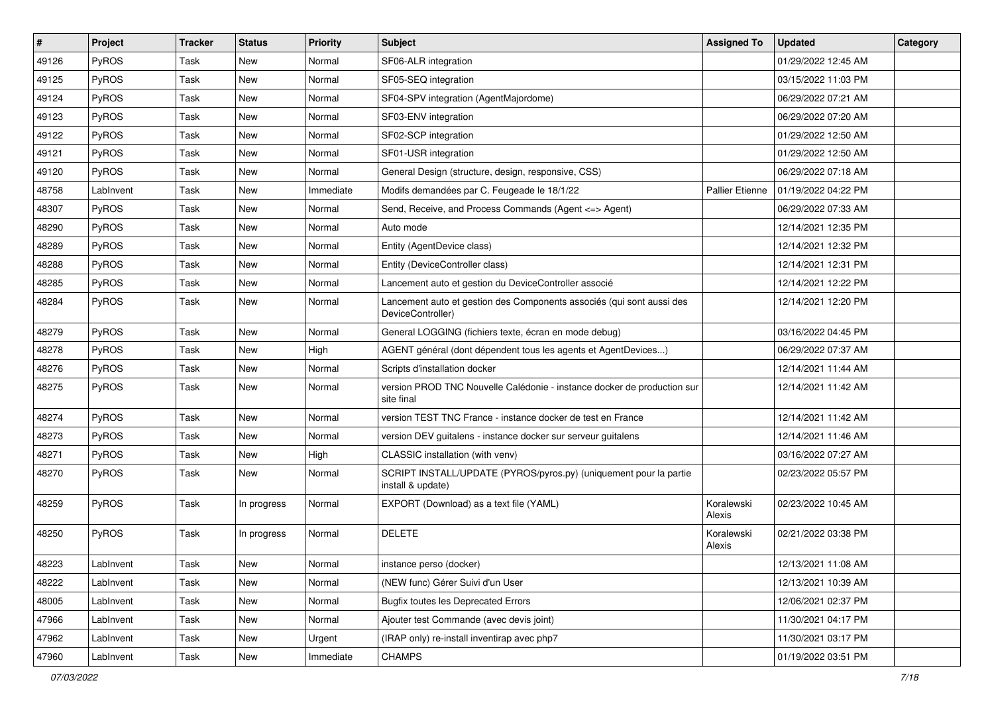| #     | Project      | <b>Tracker</b> | <b>Status</b> | <b>Priority</b> | Subject                                                                                    | <b>Assigned To</b>     | <b>Updated</b>      | Category |
|-------|--------------|----------------|---------------|-----------------|--------------------------------------------------------------------------------------------|------------------------|---------------------|----------|
| 49126 | PyROS        | Task           | <b>New</b>    | Normal          | SF06-ALR integration                                                                       |                        | 01/29/2022 12:45 AM |          |
| 49125 | PyROS        | Task           | <b>New</b>    | Normal          | SF05-SEQ integration                                                                       |                        | 03/15/2022 11:03 PM |          |
| 49124 | <b>PyROS</b> | Task           | New           | Normal          | SF04-SPV integration (AgentMajordome)                                                      |                        | 06/29/2022 07:21 AM |          |
| 49123 | PyROS        | Task           | <b>New</b>    | Normal          | SF03-ENV integration                                                                       |                        | 06/29/2022 07:20 AM |          |
| 49122 | PyROS        | Task           | <b>New</b>    | Normal          | SF02-SCP integration                                                                       |                        | 01/29/2022 12:50 AM |          |
| 49121 | PyROS        | Task           | New           | Normal          | SF01-USR integration                                                                       |                        | 01/29/2022 12:50 AM |          |
| 49120 | PyROS        | Task           | <b>New</b>    | Normal          | General Design (structure, design, responsive, CSS)                                        |                        | 06/29/2022 07:18 AM |          |
| 48758 | LabInvent    | Task           | New           | Immediate       | Modifs demandées par C. Feugeade le 18/1/22                                                | <b>Pallier Etienne</b> | 01/19/2022 04:22 PM |          |
| 48307 | PyROS        | Task           | <b>New</b>    | Normal          | Send, Receive, and Process Commands (Agent <= > Agent)                                     |                        | 06/29/2022 07:33 AM |          |
| 48290 | PyROS        | Task           | <b>New</b>    | Normal          | Auto mode                                                                                  |                        | 12/14/2021 12:35 PM |          |
| 48289 | PyROS        | Task           | New           | Normal          | Entity (AgentDevice class)                                                                 |                        | 12/14/2021 12:32 PM |          |
| 48288 | PyROS        | Task           | <b>New</b>    | Normal          | Entity (DeviceController class)                                                            |                        | 12/14/2021 12:31 PM |          |
| 48285 | PyROS        | Task           | <b>New</b>    | Normal          | Lancement auto et gestion du DeviceController associé                                      |                        | 12/14/2021 12:22 PM |          |
| 48284 | PyROS        | Task           | <b>New</b>    | Normal          | Lancement auto et gestion des Components associés (qui sont aussi des<br>DeviceController) |                        | 12/14/2021 12:20 PM |          |
| 48279 | PyROS        | Task           | New           | Normal          | General LOGGING (fichiers texte, écran en mode debug)                                      |                        | 03/16/2022 04:45 PM |          |
| 48278 | PyROS        | Task           | <b>New</b>    | High            | AGENT général (dont dépendent tous les agents et AgentDevices)                             |                        | 06/29/2022 07:37 AM |          |
| 48276 | PyROS        | Task           | <b>New</b>    | Normal          | Scripts d'installation docker                                                              |                        | 12/14/2021 11:44 AM |          |
| 48275 | PyROS        | Task           | New           | Normal          | version PROD TNC Nouvelle Calédonie - instance docker de production sur<br>site final      |                        | 12/14/2021 11:42 AM |          |
| 48274 | PyROS        | Task           | New           | Normal          | version TEST TNC France - instance docker de test en France                                |                        | 12/14/2021 11:42 AM |          |
| 48273 | PyROS        | Task           | <b>New</b>    | Normal          | version DEV guitalens - instance docker sur serveur guitalens                              |                        | 12/14/2021 11:46 AM |          |
| 48271 | PyROS        | Task           | <b>New</b>    | High            | CLASSIC installation (with venv)                                                           |                        | 03/16/2022 07:27 AM |          |
| 48270 | <b>PyROS</b> | Task           | New           | Normal          | SCRIPT INSTALL/UPDATE (PYROS/pyros.py) (uniquement pour la partie<br>install & update)     |                        | 02/23/2022 05:57 PM |          |
| 48259 | PyROS        | Task           | In progress   | Normal          | EXPORT (Download) as a text file (YAML)                                                    | Koralewski<br>Alexis   | 02/23/2022 10:45 AM |          |
| 48250 | PyROS        | Task           | In progress   | Normal          | <b>DELETE</b>                                                                              | Koralewski<br>Alexis   | 02/21/2022 03:38 PM |          |
| 48223 | LabInvent    | Task           | New           | Normal          | instance perso (docker)                                                                    |                        | 12/13/2021 11:08 AM |          |
| 48222 | LabInvent    | Task           | New           | Normal          | (NEW func) Gérer Suivi d'un User                                                           |                        | 12/13/2021 10:39 AM |          |
| 48005 | LabInvent    | Task           | New           | Normal          | <b>Bugfix toutes les Deprecated Errors</b>                                                 |                        | 12/06/2021 02:37 PM |          |
| 47966 | LabInvent    | Task           | New           | Normal          | Ajouter test Commande (avec devis joint)                                                   |                        | 11/30/2021 04:17 PM |          |
| 47962 | LabInvent    | Task           | New           | Urgent          | (IRAP only) re-install inventirap avec php7                                                |                        | 11/30/2021 03:17 PM |          |
| 47960 | LabInvent    | Task           | New           | Immediate       | <b>CHAMPS</b>                                                                              |                        | 01/19/2022 03:51 PM |          |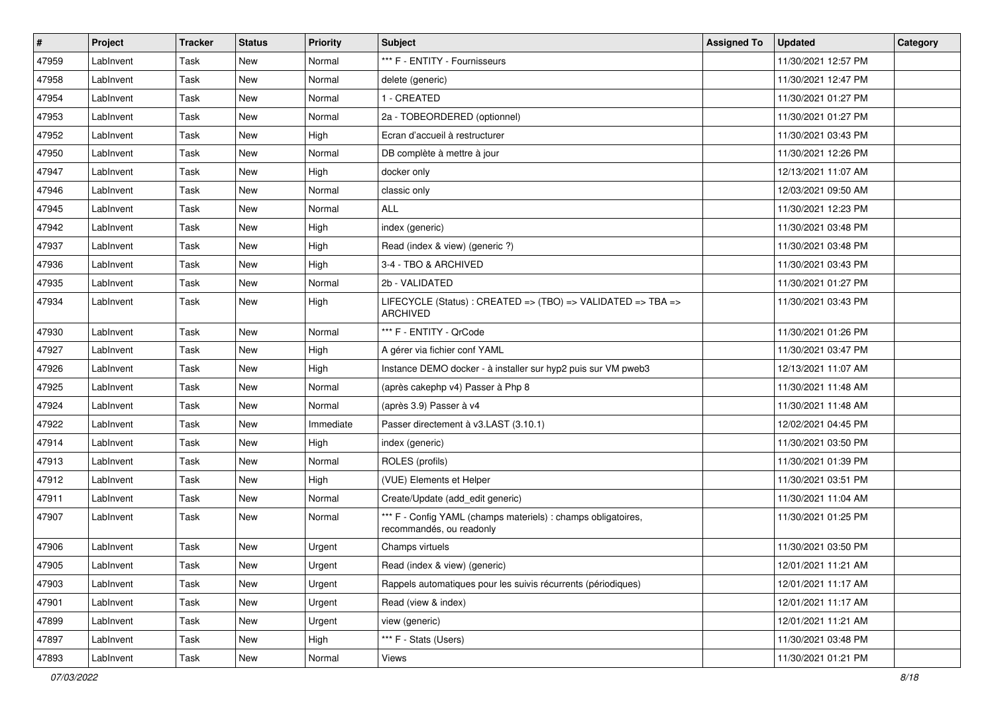| #     | Project   | <b>Tracker</b> | <b>Status</b> | <b>Priority</b> | <b>Subject</b>                                                                            | <b>Assigned To</b> | <b>Updated</b>      | Category |
|-------|-----------|----------------|---------------|-----------------|-------------------------------------------------------------------------------------------|--------------------|---------------------|----------|
| 47959 | LabInvent | Task           | <b>New</b>    | Normal          | *** F - ENTITY - Fournisseurs                                                             |                    | 11/30/2021 12:57 PM |          |
| 47958 | LabInvent | Task           | <b>New</b>    | Normal          | delete (generic)                                                                          |                    | 11/30/2021 12:47 PM |          |
| 47954 | LabInvent | Task           | New           | Normal          | 1 - CREATED                                                                               |                    | 11/30/2021 01:27 PM |          |
| 47953 | LabInvent | Task           | <b>New</b>    | Normal          | 2a - TOBEORDERED (optionnel)                                                              |                    | 11/30/2021 01:27 PM |          |
| 47952 | LabInvent | Task           | <b>New</b>    | High            | Ecran d'accueil à restructurer                                                            |                    | 11/30/2021 03:43 PM |          |
| 47950 | LabInvent | Task           | New           | Normal          | DB complète à mettre à jour                                                               |                    | 11/30/2021 12:26 PM |          |
| 47947 | LabInvent | Task           | <b>New</b>    | High            | docker only                                                                               |                    | 12/13/2021 11:07 AM |          |
| 47946 | LabInvent | Task           | New           | Normal          | classic only                                                                              |                    | 12/03/2021 09:50 AM |          |
| 47945 | LabInvent | Task           | <b>New</b>    | Normal          | <b>ALL</b>                                                                                |                    | 11/30/2021 12:23 PM |          |
| 47942 | LabInvent | Task           | <b>New</b>    | High            | index (generic)                                                                           |                    | 11/30/2021 03:48 PM |          |
| 47937 | LabInvent | Task           | New           | High            | Read (index & view) (generic ?)                                                           |                    | 11/30/2021 03:48 PM |          |
| 47936 | LabInvent | Task           | <b>New</b>    | High            | 3-4 - TBO & ARCHIVED                                                                      |                    | 11/30/2021 03:43 PM |          |
| 47935 | LabInvent | Task           | New           | Normal          | 2b - VALIDATED                                                                            |                    | 11/30/2021 01:27 PM |          |
| 47934 | LabInvent | Task           | New           | High            | LIFECYCLE (Status) : CREATED => (TBO) => VALIDATED => TBA =><br><b>ARCHIVED</b>           |                    | 11/30/2021 03:43 PM |          |
| 47930 | LabInvent | Task           | New           | Normal          | *** F - ENTITY - QrCode                                                                   |                    | 11/30/2021 01:26 PM |          |
| 47927 | LabInvent | Task           | <b>New</b>    | High            | A gérer via fichier conf YAML                                                             |                    | 11/30/2021 03:47 PM |          |
| 47926 | LabInvent | Task           | <b>New</b>    | High            | Instance DEMO docker - à installer sur hyp2 puis sur VM pweb3                             |                    | 12/13/2021 11:07 AM |          |
| 47925 | LabInvent | Task           | New           | Normal          | (après cakephp v4) Passer à Php 8                                                         |                    | 11/30/2021 11:48 AM |          |
| 47924 | LabInvent | Task           | <b>New</b>    | Normal          | (après 3.9) Passer à v4                                                                   |                    | 11/30/2021 11:48 AM |          |
| 47922 | LabInvent | Task           | New           | Immediate       | Passer directement à v3.LAST (3.10.1)                                                     |                    | 12/02/2021 04:45 PM |          |
| 47914 | LabInvent | Task           | <b>New</b>    | High            | index (generic)                                                                           |                    | 11/30/2021 03:50 PM |          |
| 47913 | LabInvent | Task           | <b>New</b>    | Normal          | ROLES (profils)                                                                           |                    | 11/30/2021 01:39 PM |          |
| 47912 | LabInvent | Task           | New           | High            | (VUE) Elements et Helper                                                                  |                    | 11/30/2021 03:51 PM |          |
| 47911 | LabInvent | Task           | <b>New</b>    | Normal          | Create/Update (add edit generic)                                                          |                    | 11/30/2021 11:04 AM |          |
| 47907 | LabInvent | Task           | New           | Normal          | *** F - Config YAML (champs materiels) : champs obligatoires,<br>recommandés, ou readonly |                    | 11/30/2021 01:25 PM |          |
| 47906 | LabInvent | Task           | New           | Urgent          | Champs virtuels                                                                           |                    | 11/30/2021 03:50 PM |          |
| 47905 | LabInvent | Task           | New           | Urgent          | Read (index & view) (generic)                                                             |                    | 12/01/2021 11:21 AM |          |
| 47903 | LabInvent | Task           | New           | Urgent          | Rappels automatiques pour les suivis récurrents (périodiques)                             |                    | 12/01/2021 11:17 AM |          |
| 47901 | LabInvent | Task           | New           | Urgent          | Read (view & index)                                                                       |                    | 12/01/2021 11:17 AM |          |
| 47899 | LabInvent | Task           | New           | Urgent          | view (generic)                                                                            |                    | 12/01/2021 11:21 AM |          |
| 47897 | LabInvent | Task           | New           | High            | *** F - Stats (Users)                                                                     |                    | 11/30/2021 03:48 PM |          |
| 47893 | LabInvent | Task           | New           | Normal          | Views                                                                                     |                    | 11/30/2021 01:21 PM |          |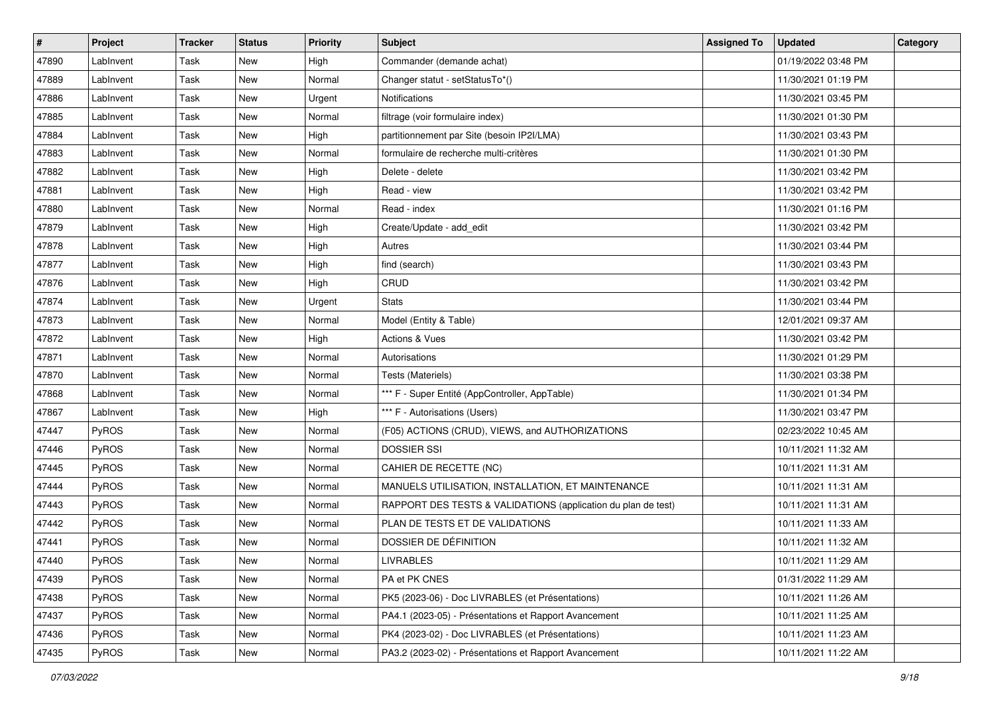| #     | Project   | <b>Tracker</b> | <b>Status</b> | <b>Priority</b> | <b>Subject</b>                                                | <b>Assigned To</b> | <b>Updated</b>      | Category |
|-------|-----------|----------------|---------------|-----------------|---------------------------------------------------------------|--------------------|---------------------|----------|
| 47890 | LabInvent | Task           | <b>New</b>    | High            | Commander (demande achat)                                     |                    | 01/19/2022 03:48 PM |          |
| 47889 | LabInvent | Task           | New           | Normal          | Changer statut - setStatusTo*()                               |                    | 11/30/2021 01:19 PM |          |
| 47886 | LabInvent | Task           | New           | Urgent          | <b>Notifications</b>                                          |                    | 11/30/2021 03:45 PM |          |
| 47885 | LabInvent | Task           | <b>New</b>    | Normal          | filtrage (voir formulaire index)                              |                    | 11/30/2021 01:30 PM |          |
| 47884 | LabInvent | Task           | <b>New</b>    | High            | partitionnement par Site (besoin IP2I/LMA)                    |                    | 11/30/2021 03:43 PM |          |
| 47883 | LabInvent | Task           | New           | Normal          | formulaire de recherche multi-critères                        |                    | 11/30/2021 01:30 PM |          |
| 47882 | LabInvent | Task           | <b>New</b>    | High            | Delete - delete                                               |                    | 11/30/2021 03:42 PM |          |
| 47881 | LabInvent | Task           | New           | High            | Read - view                                                   |                    | 11/30/2021 03:42 PM |          |
| 47880 | LabInvent | Task           | <b>New</b>    | Normal          | Read - index                                                  |                    | 11/30/2021 01:16 PM |          |
| 47879 | LabInvent | Task           | <b>New</b>    | High            | Create/Update - add_edit                                      |                    | 11/30/2021 03:42 PM |          |
| 47878 | LabInvent | Task           | New           | High            | Autres                                                        |                    | 11/30/2021 03:44 PM |          |
| 47877 | LabInvent | Task           | <b>New</b>    | High            | find (search)                                                 |                    | 11/30/2021 03:43 PM |          |
| 47876 | LabInvent | Task           | New           | High            | CRUD                                                          |                    | 11/30/2021 03:42 PM |          |
| 47874 | LabInvent | Task           | <b>New</b>    | Urgent          | <b>Stats</b>                                                  |                    | 11/30/2021 03:44 PM |          |
| 47873 | LabInvent | Task           | <b>New</b>    | Normal          | Model (Entity & Table)                                        |                    | 12/01/2021 09:37 AM |          |
| 47872 | LabInvent | Task           | New           | High            | <b>Actions &amp; Vues</b>                                     |                    | 11/30/2021 03:42 PM |          |
| 47871 | LabInvent | Task           | <b>New</b>    | Normal          | Autorisations                                                 |                    | 11/30/2021 01:29 PM |          |
| 47870 | LabInvent | Task           | New           | Normal          | Tests (Materiels)                                             |                    | 11/30/2021 03:38 PM |          |
| 47868 | LabInvent | Task           | <b>New</b>    | Normal          | *** F - Super Entité (AppController, AppTable)                |                    | 11/30/2021 01:34 PM |          |
| 47867 | LabInvent | Task           | <b>New</b>    | High            | *** F - Autorisations (Users)                                 |                    | 11/30/2021 03:47 PM |          |
| 47447 | PyROS     | Task           | New           | Normal          | (F05) ACTIONS (CRUD), VIEWS, and AUTHORIZATIONS               |                    | 02/23/2022 10:45 AM |          |
| 47446 | PyROS     | Task           | <b>New</b>    | Normal          | <b>DOSSIER SSI</b>                                            |                    | 10/11/2021 11:32 AM |          |
| 47445 | PyROS     | Task           | <b>New</b>    | Normal          | CAHIER DE RECETTE (NC)                                        |                    | 10/11/2021 11:31 AM |          |
| 47444 | PyROS     | Task           | New           | Normal          | MANUELS UTILISATION, INSTALLATION, ET MAINTENANCE             |                    | 10/11/2021 11:31 AM |          |
| 47443 | PyROS     | Task           | <b>New</b>    | Normal          | RAPPORT DES TESTS & VALIDATIONS (application du plan de test) |                    | 10/11/2021 11:31 AM |          |
| 47442 | PyROS     | Task           | New           | Normal          | PLAN DE TESTS ET DE VALIDATIONS                               |                    | 10/11/2021 11:33 AM |          |
| 47441 | PyROS     | Task           | <b>New</b>    | Normal          | DOSSIER DE DÉFINITION                                         |                    | 10/11/2021 11:32 AM |          |
| 47440 | PyROS     | Task           | New           | Normal          | <b>LIVRABLES</b>                                              |                    | 10/11/2021 11:29 AM |          |
| 47439 | PyROS     | Task           | New           | Normal          | PA et PK CNES                                                 |                    | 01/31/2022 11:29 AM |          |
| 47438 | PyROS     | Task           | New           | Normal          | PK5 (2023-06) - Doc LIVRABLES (et Présentations)              |                    | 10/11/2021 11:26 AM |          |
| 47437 | PyROS     | Task           | New           | Normal          | PA4.1 (2023-05) - Présentations et Rapport Avancement         |                    | 10/11/2021 11:25 AM |          |
| 47436 | PyROS     | Task           | New           | Normal          | PK4 (2023-02) - Doc LIVRABLES (et Présentations)              |                    | 10/11/2021 11:23 AM |          |
| 47435 | PyROS     | Task           | New           | Normal          | PA3.2 (2023-02) - Présentations et Rapport Avancement         |                    | 10/11/2021 11:22 AM |          |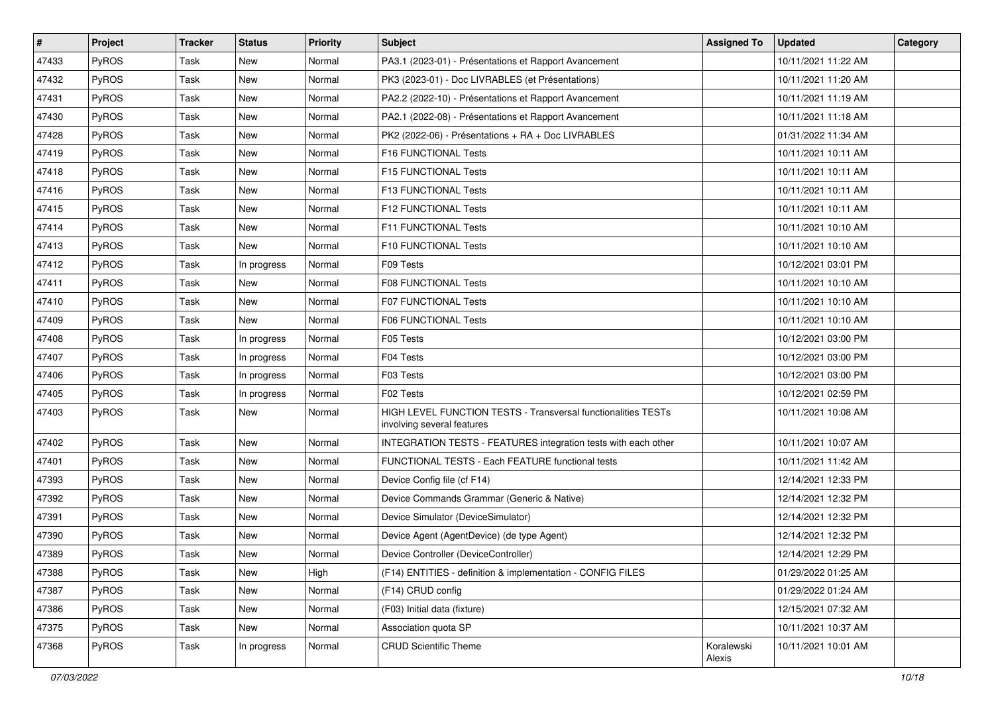| $\vert$ # | Project      | <b>Tracker</b> | <b>Status</b> | <b>Priority</b> | <b>Subject</b>                                                                              | <b>Assigned To</b>   | <b>Updated</b>      | Category |
|-----------|--------------|----------------|---------------|-----------------|---------------------------------------------------------------------------------------------|----------------------|---------------------|----------|
| 47433     | PyROS        | Task           | <b>New</b>    | Normal          | PA3.1 (2023-01) - Présentations et Rapport Avancement                                       |                      | 10/11/2021 11:22 AM |          |
| 47432     | PyROS        | Task           | New           | Normal          | PK3 (2023-01) - Doc LIVRABLES (et Présentations)                                            |                      | 10/11/2021 11:20 AM |          |
| 47431     | PyROS        | Task           | <b>New</b>    | Normal          | PA2.2 (2022-10) - Présentations et Rapport Avancement                                       |                      | 10/11/2021 11:19 AM |          |
| 47430     | PyROS        | Task           | New           | Normal          | PA2.1 (2022-08) - Présentations et Rapport Avancement                                       |                      | 10/11/2021 11:18 AM |          |
| 47428     | PyROS        | Task           | New           | Normal          | PK2 (2022-06) - Présentations + RA + Doc LIVRABLES                                          |                      | 01/31/2022 11:34 AM |          |
| 47419     | PyROS        | Task           | New           | Normal          | <b>F16 FUNCTIONAL Tests</b>                                                                 |                      | 10/11/2021 10:11 AM |          |
| 47418     | PyROS        | Task           | <b>New</b>    | Normal          | F15 FUNCTIONAL Tests                                                                        |                      | 10/11/2021 10:11 AM |          |
| 47416     | PyROS        | Task           | New           | Normal          | F13 FUNCTIONAL Tests                                                                        |                      | 10/11/2021 10:11 AM |          |
| 47415     | PyROS        | Task           | New           | Normal          | F12 FUNCTIONAL Tests                                                                        |                      | 10/11/2021 10:11 AM |          |
| 47414     | PyROS        | Task           | <b>New</b>    | Normal          | F11 FUNCTIONAL Tests                                                                        |                      | 10/11/2021 10:10 AM |          |
| 47413     | <b>PyROS</b> | Task           | New           | Normal          | F10 FUNCTIONAL Tests                                                                        |                      | 10/11/2021 10:10 AM |          |
| 47412     | PyROS        | Task           | In progress   | Normal          | F09 Tests                                                                                   |                      | 10/12/2021 03:01 PM |          |
| 47411     | PyROS        | Task           | New           | Normal          | <b>F08 FUNCTIONAL Tests</b>                                                                 |                      | 10/11/2021 10:10 AM |          |
| 47410     | PyROS        | Task           | New           | Normal          | <b>F07 FUNCTIONAL Tests</b>                                                                 |                      | 10/11/2021 10:10 AM |          |
| 47409     | PyROS        | Task           | New           | Normal          | <b>F06 FUNCTIONAL Tests</b>                                                                 |                      | 10/11/2021 10:10 AM |          |
| 47408     | PyROS        | Task           | In progress   | Normal          | F05 Tests                                                                                   |                      | 10/12/2021 03:00 PM |          |
| 47407     | PyROS        | Task           | In progress   | Normal          | F04 Tests                                                                                   |                      | 10/12/2021 03:00 PM |          |
| 47406     | PyROS        | Task           | In progress   | Normal          | F03 Tests                                                                                   |                      | 10/12/2021 03:00 PM |          |
| 47405     | PyROS        | Task           | In progress   | Normal          | F02 Tests                                                                                   |                      | 10/12/2021 02:59 PM |          |
| 47403     | PyROS        | Task           | <b>New</b>    | Normal          | HIGH LEVEL FUNCTION TESTS - Transversal functionalities TESTs<br>involving several features |                      | 10/11/2021 10:08 AM |          |
| 47402     | PyROS        | Task           | <b>New</b>    | Normal          | INTEGRATION TESTS - FEATURES integration tests with each other                              |                      | 10/11/2021 10:07 AM |          |
| 47401     | PyROS        | Task           | New           | Normal          | FUNCTIONAL TESTS - Each FEATURE functional tests                                            |                      | 10/11/2021 11:42 AM |          |
| 47393     | <b>PyROS</b> | Task           | New           | Normal          | Device Config file (cf F14)                                                                 |                      | 12/14/2021 12:33 PM |          |
| 47392     | PyROS        | Task           | <b>New</b>    | Normal          | Device Commands Grammar (Generic & Native)                                                  |                      | 12/14/2021 12:32 PM |          |
| 47391     | PyROS        | Task           | New           | Normal          | Device Simulator (DeviceSimulator)                                                          |                      | 12/14/2021 12:32 PM |          |
| 47390     | PyROS        | Task           | New           | Normal          | Device Agent (AgentDevice) (de type Agent)                                                  |                      | 12/14/2021 12:32 PM |          |
| 47389     | PyROS        | Task           | <b>New</b>    | Normal          | Device Controller (DeviceController)                                                        |                      | 12/14/2021 12:29 PM |          |
| 47388     | PyROS        | Task           | New           | High            | (F14) ENTITIES - definition & implementation - CONFIG FILES                                 |                      | 01/29/2022 01:25 AM |          |
| 47387     | PyROS        | Task           | New           | Normal          | (F14) CRUD config                                                                           |                      | 01/29/2022 01:24 AM |          |
| 47386     | PyROS        | Task           | New           | Normal          | (F03) Initial data (fixture)                                                                |                      | 12/15/2021 07:32 AM |          |
| 47375     | PyROS        | Task           | New           | Normal          | Association quota SP                                                                        |                      | 10/11/2021 10:37 AM |          |
| 47368     | PyROS        | Task           | In progress   | Normal          | <b>CRUD Scientific Theme</b>                                                                | Koralewski<br>Alexis | 10/11/2021 10:01 AM |          |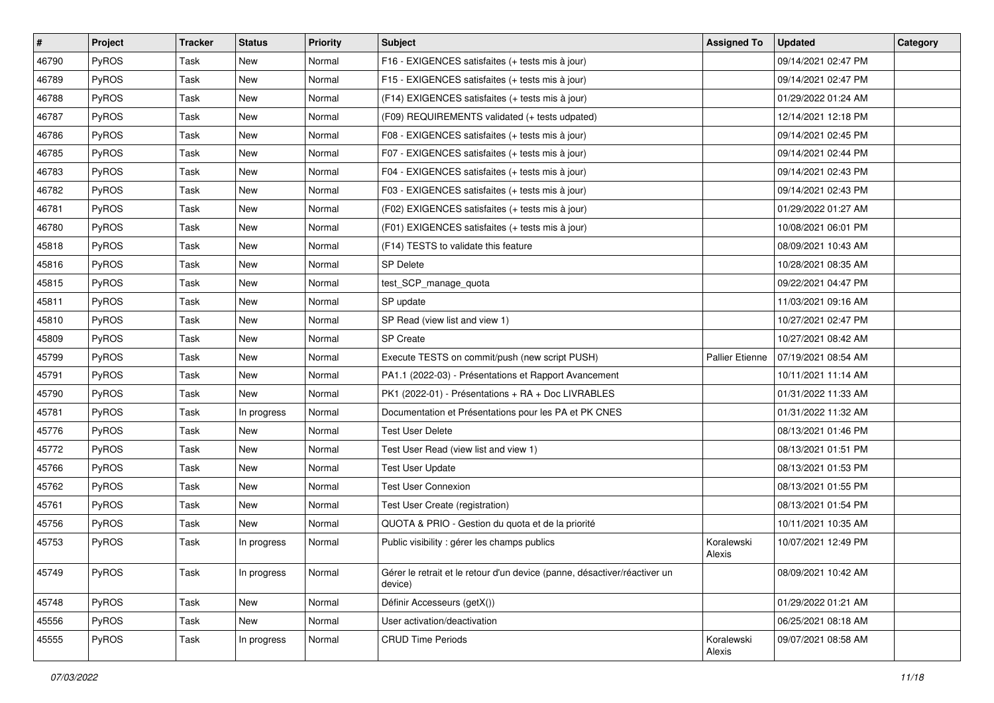| $\vert$ # | <b>Project</b> | Tracker     | <b>Status</b> | Priority | <b>Subject</b>                                                                       | <b>Assigned To</b>     | <b>Updated</b>        | Category |
|-----------|----------------|-------------|---------------|----------|--------------------------------------------------------------------------------------|------------------------|-----------------------|----------|
| 46790     | PyROS          | Task        | <b>New</b>    | Normal   | F16 - EXIGENCES satisfaites (+ tests mis à jour)                                     |                        | 09/14/2021 02:47 PM   |          |
| 46789     | PyROS          | <b>Task</b> | New           | Normal   | F15 - EXIGENCES satisfaites (+ tests mis à jour)                                     |                        | 09/14/2021 02:47 PM   |          |
| 46788     | <b>PyROS</b>   | Task        | New           | Normal   | (F14) EXIGENCES satisfaites (+ tests mis à jour)                                     |                        | 01/29/2022 01:24 AM   |          |
| 46787     | PyROS          | Task        | New           | Normal   | (F09) REQUIREMENTS validated (+ tests udpated)                                       |                        | 12/14/2021 12:18 PM   |          |
| 46786     | PyROS          | Task        | New           | Normal   | F08 - EXIGENCES satisfaites (+ tests mis à jour)                                     |                        | 09/14/2021 02:45 PM   |          |
| 46785     | PyROS          | Task        | New           | Normal   | F07 - EXIGENCES satisfaites (+ tests mis à jour)                                     |                        | 09/14/2021 02:44 PM   |          |
| 46783     | PyROS          | Task        | <b>New</b>    | Normal   | F04 - EXIGENCES satisfaites (+ tests mis à jour)                                     |                        | 09/14/2021 02:43 PM   |          |
| 46782     | PyROS          | Task        | New           | Normal   | F03 - EXIGENCES satisfaites (+ tests mis à jour)                                     |                        | 09/14/2021 02:43 PM   |          |
| 46781     | PyROS          | Task        | New           | Normal   | (F02) EXIGENCES satisfaites (+ tests mis à jour)                                     |                        | 01/29/2022 01:27 AM   |          |
| 46780     | PyROS          | Task        | New           | Normal   | (F01) EXIGENCES satisfaites (+ tests mis à jour)                                     |                        | 10/08/2021 06:01 PM   |          |
| 45818     | PyROS          | Task        | New           | Normal   | (F14) TESTS to validate this feature                                                 |                        | 08/09/2021 10:43 AM   |          |
| 45816     | PyROS          | <b>Task</b> | New           | Normal   | <b>SP Delete</b>                                                                     |                        | 10/28/2021 08:35 AM   |          |
| 45815     | PyROS          | Task        | New           | Normal   | test_SCP_manage_quota                                                                |                        | 09/22/2021 04:47 PM   |          |
| 45811     | PyROS          | Task        | New           | Normal   | SP update                                                                            |                        | 11/03/2021 09:16 AM   |          |
| 45810     | PyROS          | Task        | New           | Normal   | SP Read (view list and view 1)                                                       |                        | 10/27/2021 02:47 PM   |          |
| 45809     | <b>PyROS</b>   | Task        | New           | Normal   | <b>SP Create</b>                                                                     |                        | 10/27/2021 08:42 AM   |          |
| 45799     | PyROS          | Task        | New           | Normal   | Execute TESTS on commit/push (new script PUSH)                                       | <b>Pallier Etienne</b> | l 07/19/2021 08:54 AM |          |
| 45791     | PyROS          | Task        | New           | Normal   | PA1.1 (2022-03) - Présentations et Rapport Avancement                                |                        | 10/11/2021 11:14 AM   |          |
| 45790     | PyROS          | Task        | New           | Normal   | PK1 (2022-01) - Présentations + RA + Doc LIVRABLES                                   |                        | 01/31/2022 11:33 AM   |          |
| 45781     | PyROS          | Task        | In progress   | Normal   | Documentation et Présentations pour les PA et PK CNES                                |                        | 01/31/2022 11:32 AM   |          |
| 45776     | PyROS          | Task        | New           | Normal   | <b>Test User Delete</b>                                                              |                        | 08/13/2021 01:46 PM   |          |
| 45772     | PyROS          | Task        | New           | Normal   | Test User Read (view list and view 1)                                                |                        | 08/13/2021 01:51 PM   |          |
| 45766     | PyROS          | Task        | <b>New</b>    | Normal   | <b>Test User Update</b>                                                              |                        | 08/13/2021 01:53 PM   |          |
| 45762     | PyROS          | Task        | New           | Normal   | <b>Test User Connexion</b>                                                           |                        | 08/13/2021 01:55 PM   |          |
| 45761     | PyROS          | <b>Task</b> | <b>New</b>    | Normal   | Test User Create (registration)                                                      |                        | 08/13/2021 01:54 PM   |          |
| 45756     | PyROS          | Task        | New           | Normal   | QUOTA & PRIO - Gestion du quota et de la priorité                                    |                        | 10/11/2021 10:35 AM   |          |
| 45753     | PyROS          | Task        | In progress   | Normal   | Public visibility : gérer les champs publics                                         | Koralewski<br>Alexis   | 10/07/2021 12:49 PM   |          |
| 45749     | PyROS          | Task        | In progress   | Normal   | Gérer le retrait et le retour d'un device (panne, désactiver/réactiver un<br>device) |                        | 08/09/2021 10:42 AM   |          |
| 45748     | PyROS          | Task        | New           | Normal   | Définir Accesseurs (getX())                                                          |                        | 01/29/2022 01:21 AM   |          |
| 45556     | PyROS          | Task        | New           | Normal   | User activation/deactivation                                                         |                        | 06/25/2021 08:18 AM   |          |
| 45555     | PyROS          | Task        | In progress   | Normal   | <b>CRUD Time Periods</b>                                                             | Koralewski<br>Alexis   | 09/07/2021 08:58 AM   |          |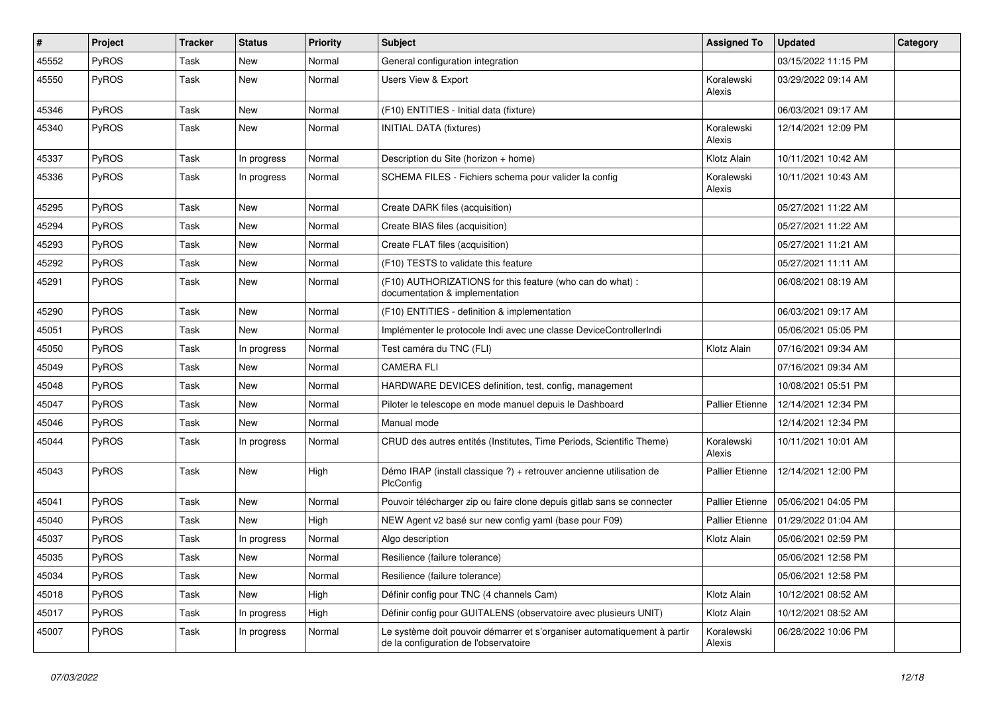| #     | Project | <b>Tracker</b> | <b>Status</b> | <b>Priority</b> | Subject                                                                                                           | <b>Assigned To</b>     | <b>Updated</b>      | Category |
|-------|---------|----------------|---------------|-----------------|-------------------------------------------------------------------------------------------------------------------|------------------------|---------------------|----------|
| 45552 | PyROS   | Task           | <b>New</b>    | Normal          | General configuration integration                                                                                 |                        | 03/15/2022 11:15 PM |          |
| 45550 | PyROS   | Task           | New           | Normal          | Users View & Export                                                                                               | Koralewski<br>Alexis   | 03/29/2022 09:14 AM |          |
| 45346 | PyROS   | Task           | <b>New</b>    | Normal          | (F10) ENTITIES - Initial data (fixture)                                                                           |                        | 06/03/2021 09:17 AM |          |
| 45340 | PyROS   | Task           | <b>New</b>    | Normal          | <b>INITIAL DATA (fixtures)</b>                                                                                    | Koralewski<br>Alexis   | 12/14/2021 12:09 PM |          |
| 45337 | PyROS   | Task           | In progress   | Normal          | Description du Site (horizon + home)                                                                              | Klotz Alain            | 10/11/2021 10:42 AM |          |
| 45336 | PyROS   | Task           | In progress   | Normal          | SCHEMA FILES - Fichiers schema pour valider la config                                                             | Koralewski<br>Alexis   | 10/11/2021 10:43 AM |          |
| 45295 | PyROS   | Task           | New           | Normal          | Create DARK files (acquisition)                                                                                   |                        | 05/27/2021 11:22 AM |          |
| 45294 | PyROS   | Task           | <b>New</b>    | Normal          | Create BIAS files (acquisition)                                                                                   |                        | 05/27/2021 11:22 AM |          |
| 45293 | PyROS   | Task           | <b>New</b>    | Normal          | Create FLAT files (acquisition)                                                                                   |                        | 05/27/2021 11:21 AM |          |
| 45292 | PyROS   | Task           | <b>New</b>    | Normal          | (F10) TESTS to validate this feature                                                                              |                        | 05/27/2021 11:11 AM |          |
| 45291 | PyROS   | Task           | New           | Normal          | (F10) AUTHORIZATIONS for this feature (who can do what) :<br>documentation & implementation                       |                        | 06/08/2021 08:19 AM |          |
| 45290 | PyROS   | Task           | New           | Normal          | (F10) ENTITIES - definition & implementation                                                                      |                        | 06/03/2021 09:17 AM |          |
| 45051 | PyROS   | Task           | <b>New</b>    | Normal          | Implémenter le protocole Indi avec une classe DeviceControllerIndi                                                |                        | 05/06/2021 05:05 PM |          |
| 45050 | PyROS   | Task           | In progress   | Normal          | Test caméra du TNC (FLI)                                                                                          | Klotz Alain            | 07/16/2021 09:34 AM |          |
| 45049 | PyROS   | Task           | <b>New</b>    | Normal          | <b>CAMERA FLI</b>                                                                                                 |                        | 07/16/2021 09:34 AM |          |
| 45048 | PyROS   | Task           | <b>New</b>    | Normal          | HARDWARE DEVICES definition, test, config, management                                                             |                        | 10/08/2021 05:51 PM |          |
| 45047 | PyROS   | Task           | <b>New</b>    | Normal          | Piloter le telescope en mode manuel depuis le Dashboard                                                           | Pallier Etienne        | 12/14/2021 12:34 PM |          |
| 45046 | PyROS   | Task           | <b>New</b>    | Normal          | Manual mode                                                                                                       |                        | 12/14/2021 12:34 PM |          |
| 45044 | PyROS   | Task           | In progress   | Normal          | CRUD des autres entités (Institutes, Time Periods, Scientific Theme)                                              | Koralewski<br>Alexis   | 10/11/2021 10:01 AM |          |
| 45043 | PyROS   | Task           | New           | High            | Démo IRAP (install classique ?) + retrouver ancienne utilisation de<br>PlcConfig                                  | Pallier Etienne        | 12/14/2021 12:00 PM |          |
| 45041 | PyROS   | Task           | <b>New</b>    | Normal          | Pouvoir télécharger zip ou faire clone depuis gitlab sans se connecter                                            | <b>Pallier Etienne</b> | 05/06/2021 04:05 PM |          |
| 45040 | PyROS   | Task           | <b>New</b>    | High            | NEW Agent v2 basé sur new config yaml (base pour F09)                                                             | Pallier Etienne        | 01/29/2022 01:04 AM |          |
| 45037 | PyROS   | Task           | In progress   | Normal          | Algo description                                                                                                  | Klotz Alain            | 05/06/2021 02:59 PM |          |
| 45035 | PyROS   | Task           | New           | Normal          | Resilience (failure tolerance)                                                                                    |                        | 05/06/2021 12:58 PM |          |
| 45034 | PyROS   | Task           | New           | Normal          | Resilience (failure tolerance)                                                                                    |                        | 05/06/2021 12:58 PM |          |
| 45018 | PyROS   | Task           | New           | High            | Définir config pour TNC (4 channels Cam)                                                                          | Klotz Alain            | 10/12/2021 08:52 AM |          |
| 45017 | PyROS   | Task           | In progress   | High            | Définir config pour GUITALENS (observatoire avec plusieurs UNIT)                                                  | Klotz Alain            | 10/12/2021 08:52 AM |          |
| 45007 | PyROS   | Task           | In progress   | Normal          | Le système doit pouvoir démarrer et s'organiser automatiquement à partir<br>de la configuration de l'observatoire | Koralewski<br>Alexis   | 06/28/2022 10:06 PM |          |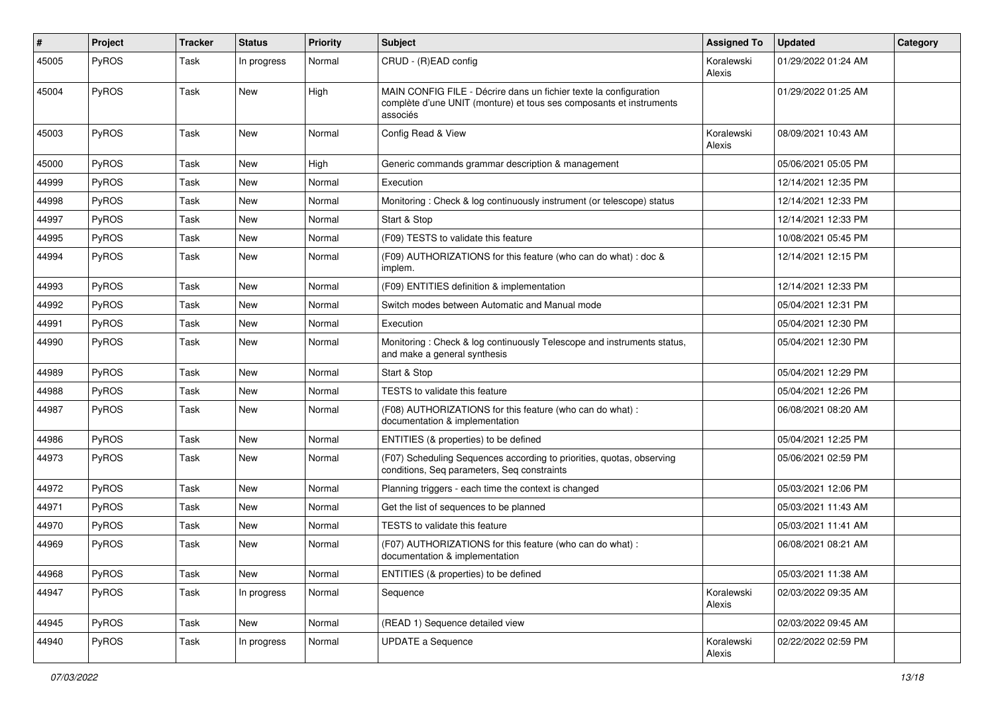| $\sharp$ | Project | <b>Tracker</b> | <b>Status</b> | <b>Priority</b> | <b>Subject</b>                                                                                                                                       | <b>Assigned To</b>   | <b>Updated</b>      | Category |
|----------|---------|----------------|---------------|-----------------|------------------------------------------------------------------------------------------------------------------------------------------------------|----------------------|---------------------|----------|
| 45005    | PyROS   | Task           | In progress   | Normal          | CRUD - (R)EAD config                                                                                                                                 | Koralewski<br>Alexis | 01/29/2022 01:24 AM |          |
| 45004    | PyROS   | Task           | New           | High            | MAIN CONFIG FILE - Décrire dans un fichier texte la configuration<br>complète d'une UNIT (monture) et tous ses composants et instruments<br>associés |                      | 01/29/2022 01:25 AM |          |
| 45003    | PyROS   | Task           | New           | Normal          | Config Read & View                                                                                                                                   | Koralewski<br>Alexis | 08/09/2021 10:43 AM |          |
| 45000    | PyROS   | Task           | New           | High            | Generic commands grammar description & management                                                                                                    |                      | 05/06/2021 05:05 PM |          |
| 44999    | PyROS   | Task           | <b>New</b>    | Normal          | Execution                                                                                                                                            |                      | 12/14/2021 12:35 PM |          |
| 44998    | PyROS   | Task           | <b>New</b>    | Normal          | Monitoring: Check & log continuously instrument (or telescope) status                                                                                |                      | 12/14/2021 12:33 PM |          |
| 44997    | PyROS   | Task           | <b>New</b>    | Normal          | Start & Stop                                                                                                                                         |                      | 12/14/2021 12:33 PM |          |
| 44995    | PyROS   | Task           | <b>New</b>    | Normal          | (F09) TESTS to validate this feature                                                                                                                 |                      | 10/08/2021 05:45 PM |          |
| 44994    | PyROS   | Task           | <b>New</b>    | Normal          | (F09) AUTHORIZATIONS for this feature (who can do what) : doc &<br>implem.                                                                           |                      | 12/14/2021 12:15 PM |          |
| 44993    | PyROS   | Task           | <b>New</b>    | Normal          | (F09) ENTITIES definition & implementation                                                                                                           |                      | 12/14/2021 12:33 PM |          |
| 44992    | PyROS   | Task           | New           | Normal          | Switch modes between Automatic and Manual mode                                                                                                       |                      | 05/04/2021 12:31 PM |          |
| 44991    | PyROS   | Task           | <b>New</b>    | Normal          | Execution                                                                                                                                            |                      | 05/04/2021 12:30 PM |          |
| 44990    | PyROS   | Task           | <b>New</b>    | Normal          | Monitoring: Check & log continuously Telescope and instruments status,<br>and make a general synthesis                                               |                      | 05/04/2021 12:30 PM |          |
| 44989    | PyROS   | Task           | <b>New</b>    | Normal          | Start & Stop                                                                                                                                         |                      | 05/04/2021 12:29 PM |          |
| 44988    | PyROS   | Task           | <b>New</b>    | Normal          | TESTS to validate this feature                                                                                                                       |                      | 05/04/2021 12:26 PM |          |
| 44987    | PyROS   | Task           | New           | Normal          | (F08) AUTHORIZATIONS for this feature (who can do what):<br>documentation & implementation                                                           |                      | 06/08/2021 08:20 AM |          |
| 44986    | PyROS   | Task           | <b>New</b>    | Normal          | ENTITIES (& properties) to be defined                                                                                                                |                      | 05/04/2021 12:25 PM |          |
| 44973    | PyROS   | Task           | <b>New</b>    | Normal          | (F07) Scheduling Sequences according to priorities, quotas, observing<br>conditions, Seq parameters, Seq constraints                                 |                      | 05/06/2021 02:59 PM |          |
| 44972    | PyROS   | Task           | New           | Normal          | Planning triggers - each time the context is changed                                                                                                 |                      | 05/03/2021 12:06 PM |          |
| 44971    | PyROS   | Task           | <b>New</b>    | Normal          | Get the list of sequences to be planned                                                                                                              |                      | 05/03/2021 11:43 AM |          |
| 44970    | PyROS   | Task           | <b>New</b>    | Normal          | <b>TESTS</b> to validate this feature                                                                                                                |                      | 05/03/2021 11:41 AM |          |
| 44969    | PyROS   | Task           | <b>New</b>    | Normal          | (F07) AUTHORIZATIONS for this feature (who can do what):<br>documentation & implementation                                                           |                      | 06/08/2021 08:21 AM |          |
| 44968    | PyROS   | Task           | New           | Normal          | ENTITIES (& properties) to be defined                                                                                                                |                      | 05/03/2021 11:38 AM |          |
| 44947    | PyROS   | Task           | In progress   | Normal          | Sequence                                                                                                                                             | Koralewski<br>Alexis | 02/03/2022 09:35 AM |          |
| 44945    | PyROS   | Task           | New           | Normal          | (READ 1) Sequence detailed view                                                                                                                      |                      | 02/03/2022 09:45 AM |          |
| 44940    | PyROS   | Task           | In progress   | Normal          | <b>UPDATE a Sequence</b>                                                                                                                             | Koralewski<br>Alexis | 02/22/2022 02:59 PM |          |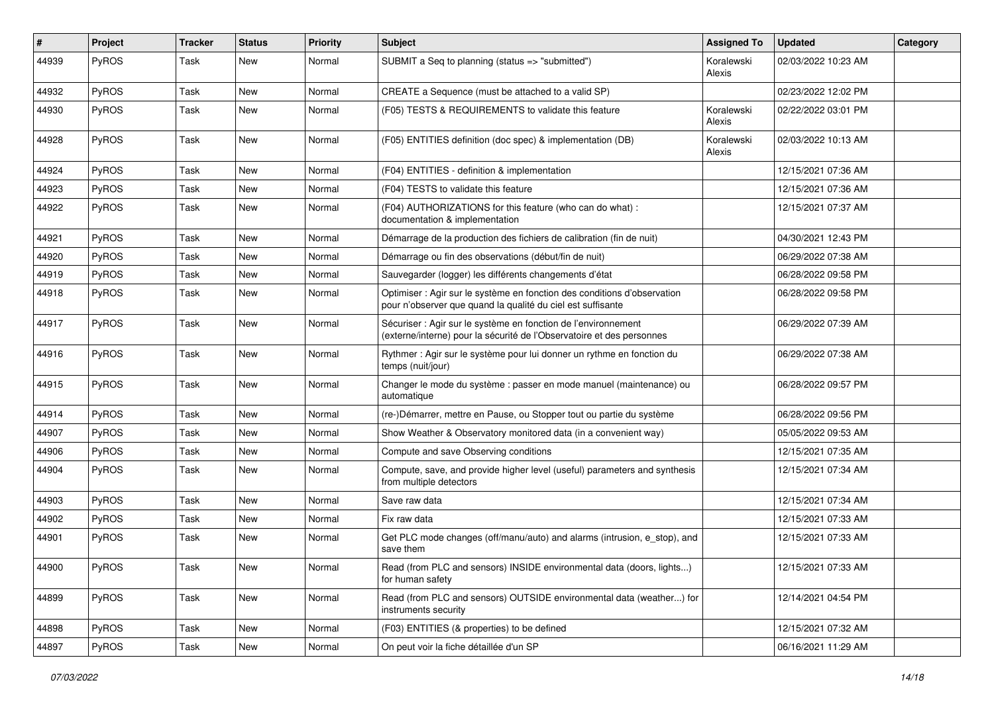| #     | Project | <b>Tracker</b> | <b>Status</b> | <b>Priority</b> | <b>Subject</b>                                                                                                                          | <b>Assigned To</b>   | <b>Updated</b>      | Category |
|-------|---------|----------------|---------------|-----------------|-----------------------------------------------------------------------------------------------------------------------------------------|----------------------|---------------------|----------|
| 44939 | PyROS   | Task           | New           | Normal          | SUBMIT a Seq to planning (status => "submitted")                                                                                        | Koralewski<br>Alexis | 02/03/2022 10:23 AM |          |
| 44932 | PyROS   | Task           | New           | Normal          | CREATE a Sequence (must be attached to a valid SP)                                                                                      |                      | 02/23/2022 12:02 PM |          |
| 44930 | PyROS   | Task           | <b>New</b>    | Normal          | (F05) TESTS & REQUIREMENTS to validate this feature                                                                                     | Koralewski<br>Alexis | 02/22/2022 03:01 PM |          |
| 44928 | PyROS   | Task           | New           | Normal          | (F05) ENTITIES definition (doc spec) & implementation (DB)                                                                              | Koralewski<br>Alexis | 02/03/2022 10:13 AM |          |
| 44924 | PyROS   | Task           | New           | Normal          | (F04) ENTITIES - definition & implementation                                                                                            |                      | 12/15/2021 07:36 AM |          |
| 44923 | PyROS   | Task           | <b>New</b>    | Normal          | (F04) TESTS to validate this feature                                                                                                    |                      | 12/15/2021 07:36 AM |          |
| 44922 | PyROS   | Task           | New           | Normal          | (F04) AUTHORIZATIONS for this feature (who can do what) :<br>documentation & implementation                                             |                      | 12/15/2021 07:37 AM |          |
| 44921 | PyROS   | Task           | New           | Normal          | Démarrage de la production des fichiers de calibration (fin de nuit)                                                                    |                      | 04/30/2021 12:43 PM |          |
| 44920 | PyROS   | Task           | <b>New</b>    | Normal          | Démarrage ou fin des observations (début/fin de nuit)                                                                                   |                      | 06/29/2022 07:38 AM |          |
| 44919 | PyROS   | Task           | New           | Normal          | Sauvegarder (logger) les différents changements d'état                                                                                  |                      | 06/28/2022 09:58 PM |          |
| 44918 | PyROS   | Task           | <b>New</b>    | Normal          | Optimiser : Agir sur le système en fonction des conditions d'observation<br>pour n'observer que quand la qualité du ciel est suffisante |                      | 06/28/2022 09:58 PM |          |
| 44917 | PyROS   | Task           | <b>New</b>    | Normal          | Sécuriser : Agir sur le système en fonction de l'environnement<br>(externe/interne) pour la sécurité de l'Observatoire et des personnes |                      | 06/29/2022 07:39 AM |          |
| 44916 | PyROS   | Task           | <b>New</b>    | Normal          | Rythmer : Agir sur le système pour lui donner un rythme en fonction du<br>temps (nuit/jour)                                             |                      | 06/29/2022 07:38 AM |          |
| 44915 | PyROS   | Task           | <b>New</b>    | Normal          | Changer le mode du système : passer en mode manuel (maintenance) ou<br>automatique                                                      |                      | 06/28/2022 09:57 PM |          |
| 44914 | PyROS   | Task           | <b>New</b>    | Normal          | (re-)Démarrer, mettre en Pause, ou Stopper tout ou partie du système                                                                    |                      | 06/28/2022 09:56 PM |          |
| 44907 | PyROS   | Task           | New           | Normal          | Show Weather & Observatory monitored data (in a convenient way)                                                                         |                      | 05/05/2022 09:53 AM |          |
| 44906 | PyROS   | Task           | <b>New</b>    | Normal          | Compute and save Observing conditions                                                                                                   |                      | 12/15/2021 07:35 AM |          |
| 44904 | PyROS   | Task           | <b>New</b>    | Normal          | Compute, save, and provide higher level (useful) parameters and synthesis<br>from multiple detectors                                    |                      | 12/15/2021 07:34 AM |          |
| 44903 | PyROS   | Task           | New           | Normal          | Save raw data                                                                                                                           |                      | 12/15/2021 07:34 AM |          |
| 44902 | PyROS   | Task           | <b>New</b>    | Normal          | Fix raw data                                                                                                                            |                      | 12/15/2021 07:33 AM |          |
| 44901 | PyROS   | Task           | New           | Normal          | Get PLC mode changes (off/manu/auto) and alarms (intrusion, e_stop), and<br>save them                                                   |                      | 12/15/2021 07:33 AM |          |
| 44900 | PyROS   | Task           | New           | Normal          | Read (from PLC and sensors) INSIDE environmental data (doors, lights)<br>for human safety                                               |                      | 12/15/2021 07:33 AM |          |
| 44899 | PyROS   | Task           | New           | Normal          | Read (from PLC and sensors) OUTSIDE environmental data (weather) for<br>instruments security                                            |                      | 12/14/2021 04:54 PM |          |
| 44898 | PyROS   | Task           | New           | Normal          | (F03) ENTITIES (& properties) to be defined                                                                                             |                      | 12/15/2021 07:32 AM |          |
| 44897 | PyROS   | Task           | New           | Normal          | On peut voir la fiche détaillée d'un SP                                                                                                 |                      | 06/16/2021 11:29 AM |          |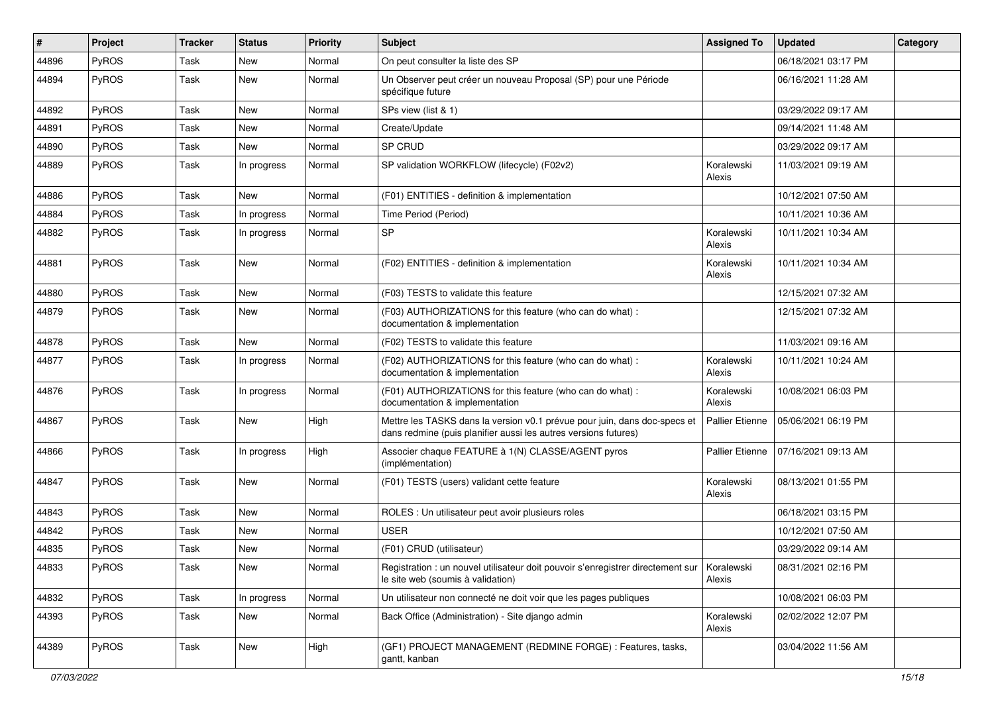| ∦     | Project      | <b>Tracker</b> | <b>Status</b> | <b>Priority</b> | <b>Subject</b>                                                                                                                               | <b>Assigned To</b>     | <b>Updated</b>      | Category |
|-------|--------------|----------------|---------------|-----------------|----------------------------------------------------------------------------------------------------------------------------------------------|------------------------|---------------------|----------|
| 44896 | PyROS        | Task           | <b>New</b>    | Normal          | On peut consulter la liste des SP                                                                                                            |                        | 06/18/2021 03:17 PM |          |
| 44894 | PyROS        | Task           | New           | Normal          | Un Observer peut créer un nouveau Proposal (SP) pour une Période<br>spécifique future                                                        |                        | 06/16/2021 11:28 AM |          |
| 44892 | PyROS        | Task           | New           | Normal          | SPs view (list & 1)                                                                                                                          |                        | 03/29/2022 09:17 AM |          |
| 44891 | PyROS        | Task           | <b>New</b>    | Normal          | Create/Update                                                                                                                                |                        | 09/14/2021 11:48 AM |          |
| 44890 | PyROS        | Task           | New           | Normal          | SP CRUD                                                                                                                                      |                        | 03/29/2022 09:17 AM |          |
| 44889 | PyROS        | Task           | In progress   | Normal          | SP validation WORKFLOW (lifecycle) (F02v2)                                                                                                   | Koralewski<br>Alexis   | 11/03/2021 09:19 AM |          |
| 44886 | PyROS        | Task           | <b>New</b>    | Normal          | (F01) ENTITIES - definition & implementation                                                                                                 |                        | 10/12/2021 07:50 AM |          |
| 44884 | PyROS        | Task           | In progress   | Normal          | Time Period (Period)                                                                                                                         |                        | 10/11/2021 10:36 AM |          |
| 44882 | <b>PyROS</b> | Task           | In progress   | Normal          | SP                                                                                                                                           | Koralewski<br>Alexis   | 10/11/2021 10:34 AM |          |
| 44881 | PyROS        | Task           | <b>New</b>    | Normal          | (F02) ENTITIES - definition & implementation                                                                                                 | Koralewski<br>Alexis   | 10/11/2021 10:34 AM |          |
| 44880 | PyROS        | Task           | <b>New</b>    | Normal          | (F03) TESTS to validate this feature                                                                                                         |                        | 12/15/2021 07:32 AM |          |
| 44879 | PyROS        | Task           | New           | Normal          | (F03) AUTHORIZATIONS for this feature (who can do what) :<br>documentation & implementation                                                  |                        | 12/15/2021 07:32 AM |          |
| 44878 | PyROS        | Task           | <b>New</b>    | Normal          | (F02) TESTS to validate this feature                                                                                                         |                        | 11/03/2021 09:16 AM |          |
| 44877 | PyROS        | Task           | In progress   | Normal          | (F02) AUTHORIZATIONS for this feature (who can do what) :<br>documentation & implementation                                                  | Koralewski<br>Alexis   | 10/11/2021 10:24 AM |          |
| 44876 | PyROS        | Task           | In progress   | Normal          | (F01) AUTHORIZATIONS for this feature (who can do what) :<br>documentation & implementation                                                  | Koralewski<br>Alexis   | 10/08/2021 06:03 PM |          |
| 44867 | PyROS        | Task           | New           | High            | Mettre les TASKS dans la version v0.1 prévue pour juin, dans doc-specs et<br>dans redmine (puis planifier aussi les autres versions futures) | <b>Pallier Etienne</b> | 05/06/2021 06:19 PM |          |
| 44866 | PyROS        | Task           | In progress   | High            | Associer chaque FEATURE à 1(N) CLASSE/AGENT pyros<br>(implémentation)                                                                        | Pallier Etienne        | 07/16/2021 09:13 AM |          |
| 44847 | PyROS        | Task           | <b>New</b>    | Normal          | (F01) TESTS (users) validant cette feature                                                                                                   | Koralewski<br>Alexis   | 08/13/2021 01:55 PM |          |
| 44843 | PyROS        | Task           | <b>New</b>    | Normal          | ROLES : Un utilisateur peut avoir plusieurs roles                                                                                            |                        | 06/18/2021 03:15 PM |          |
| 44842 | <b>PyROS</b> | Task           | New           | Normal          | <b>USER</b>                                                                                                                                  |                        | 10/12/2021 07:50 AM |          |
| 44835 | PyROS        | Task           | <b>New</b>    | Normal          | (F01) CRUD (utilisateur)                                                                                                                     |                        | 03/29/2022 09:14 AM |          |
| 44833 | PyROS        | Task           | New           | Normal          | Registration : un nouvel utilisateur doit pouvoir s'enregistrer directement sur<br>le site web (soumis à validation)                         | Koralewski<br>Alexis   | 08/31/2021 02:16 PM |          |
| 44832 | PyROS        | Task           | In progress   | Normal          | Un utilisateur non connecté ne doit voir que les pages publiques                                                                             |                        | 10/08/2021 06:03 PM |          |
| 44393 | PyROS        | Task           | New           | Normal          | Back Office (Administration) - Site django admin                                                                                             | Koralewski<br>Alexis   | 02/02/2022 12:07 PM |          |
| 44389 | PyROS        | Task           | New           | High            | (GF1) PROJECT MANAGEMENT (REDMINE FORGE) : Features, tasks,<br>gantt, kanban                                                                 |                        | 03/04/2022 11:56 AM |          |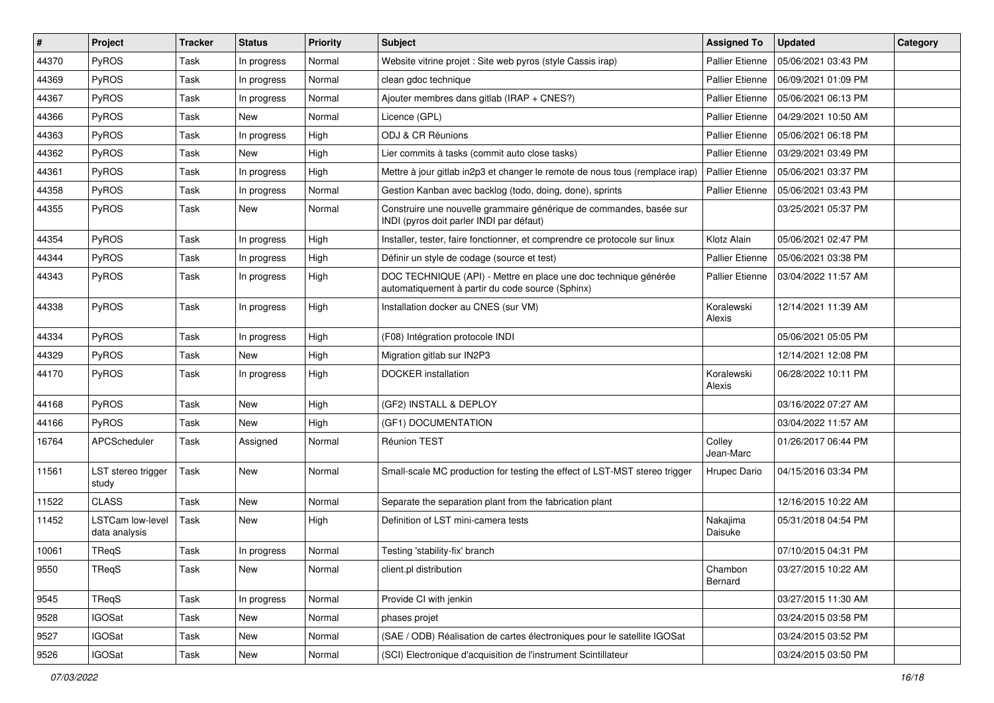| $\vert$ # | Project                                  | <b>Tracker</b> | <b>Status</b> | <b>Priority</b> | <b>Subject</b>                                                                                                      | <b>Assigned To</b>     | <b>Updated</b>      | Category |
|-----------|------------------------------------------|----------------|---------------|-----------------|---------------------------------------------------------------------------------------------------------------------|------------------------|---------------------|----------|
| 44370     | PyROS                                    | Task           | In progress   | Normal          | Website vitrine projet : Site web pyros (style Cassis irap)                                                         | <b>Pallier Etienne</b> | 05/06/2021 03:43 PM |          |
| 44369     | PyROS                                    | Task           | In progress   | Normal          | clean gdoc technique                                                                                                | <b>Pallier Etienne</b> | 06/09/2021 01:09 PM |          |
| 44367     | PyROS                                    | Task           | In progress   | Normal          | Ajouter membres dans gitlab (IRAP + CNES?)                                                                          | <b>Pallier Etienne</b> | 05/06/2021 06:13 PM |          |
| 44366     | PyROS                                    | Task           | New           | Normal          | Licence (GPL)                                                                                                       | Pallier Etienne        | 04/29/2021 10:50 AM |          |
| 44363     | PyROS                                    | Task           | In progress   | High            | ODJ & CR Réunions                                                                                                   | Pallier Etienne        | 05/06/2021 06:18 PM |          |
| 44362     | <b>PyROS</b>                             | Task           | New           | High            | Lier commits à tasks (commit auto close tasks)                                                                      | Pallier Etienne        | 03/29/2021 03:49 PM |          |
| 44361     | PyROS                                    | Task           | In progress   | High            | Mettre à jour gitlab in2p3 et changer le remote de nous tous (remplace irap)                                        | <b>Pallier Etienne</b> | 05/06/2021 03:37 PM |          |
| 44358     | PyROS                                    | Task           | In progress   | Normal          | Gestion Kanban avec backlog (todo, doing, done), sprints                                                            | <b>Pallier Etienne</b> | 05/06/2021 03:43 PM |          |
| 44355     | PyROS                                    | Task           | <b>New</b>    | Normal          | Construire une nouvelle grammaire générique de commandes, basée sur<br>INDI (pyros doit parler INDI par défaut)     |                        | 03/25/2021 05:37 PM |          |
| 44354     | <b>PyROS</b>                             | Task           | In progress   | High            | Installer, tester, faire fonctionner, et comprendre ce protocole sur linux                                          | Klotz Alain            | 05/06/2021 02:47 PM |          |
| 44344     | PyROS                                    | Task           | In progress   | High            | Définir un style de codage (source et test)                                                                         | <b>Pallier Etienne</b> | 05/06/2021 03:38 PM |          |
| 44343     | PyROS                                    | Task           | In progress   | High            | DOC TECHNIQUE (API) - Mettre en place une doc technique générée<br>automatiquement à partir du code source (Sphinx) | <b>Pallier Etienne</b> | 03/04/2022 11:57 AM |          |
| 44338     | PyROS                                    | Task           | In progress   | High            | Installation docker au CNES (sur VM)                                                                                | Koralewski<br>Alexis   | 12/14/2021 11:39 AM |          |
| 44334     | PyROS                                    | Task           | In progress   | High            | (F08) Intégration protocole INDI                                                                                    |                        | 05/06/2021 05:05 PM |          |
| 44329     | PyROS                                    | Task           | <b>New</b>    | High            | Migration gitlab sur IN2P3                                                                                          |                        | 12/14/2021 12:08 PM |          |
| 44170     | <b>PyROS</b>                             | Task           | In progress   | High            | <b>DOCKER</b> installation                                                                                          | Koralewski<br>Alexis   | 06/28/2022 10:11 PM |          |
| 44168     | PyROS                                    | Task           | <b>New</b>    | High            | (GF2) INSTALL & DEPLOY                                                                                              |                        | 03/16/2022 07:27 AM |          |
| 44166     | <b>PyROS</b>                             | Task           | New           | High            | (GF1) DOCUMENTATION                                                                                                 |                        | 03/04/2022 11:57 AM |          |
| 16764     | APCScheduler                             | Task           | Assigned      | Normal          | <b>Réunion TEST</b>                                                                                                 | Colley<br>Jean-Marc    | 01/26/2017 06:44 PM |          |
| 11561     | LST stereo trigger<br>study              | Task           | <b>New</b>    | Normal          | Small-scale MC production for testing the effect of LST-MST stereo trigger                                          | Hrupec Dario           | 04/15/2016 03:34 PM |          |
| 11522     | <b>CLASS</b>                             | Task           | New           | Normal          | Separate the separation plant from the fabrication plant                                                            |                        | 12/16/2015 10:22 AM |          |
| 11452     | <b>LSTCam low-level</b><br>data analysis | Task           | <b>New</b>    | High            | Definition of LST mini-camera tests                                                                                 | Nakajima<br>Daisuke    | 05/31/2018 04:54 PM |          |
| 10061     | TReqS                                    | Task           | In progress   | Normal          | Testing 'stability-fix' branch                                                                                      |                        | 07/10/2015 04:31 PM |          |
| 9550      | TReqS                                    | Task           | New           | Normal          | client.pl distribution                                                                                              | Chambon<br>Bernard     | 03/27/2015 10:22 AM |          |
| 9545      | <b>TReqS</b>                             | Task           | In progress   | Normal          | Provide CI with jenkin                                                                                              |                        | 03/27/2015 11:30 AM |          |
| 9528      | <b>IGOSat</b>                            | Task           | <b>New</b>    | Normal          | phases projet                                                                                                       |                        | 03/24/2015 03:58 PM |          |
| 9527      | <b>IGOSat</b>                            | Task           | New           | Normal          | (SAE / ODB) Réalisation de cartes électroniques pour le satellite IGOSat                                            |                        | 03/24/2015 03:52 PM |          |
| 9526      | <b>IGOSat</b>                            | Task           | New           | Normal          | (SCI) Electronique d'acquisition de l'instrument Scintillateur                                                      |                        | 03/24/2015 03:50 PM |          |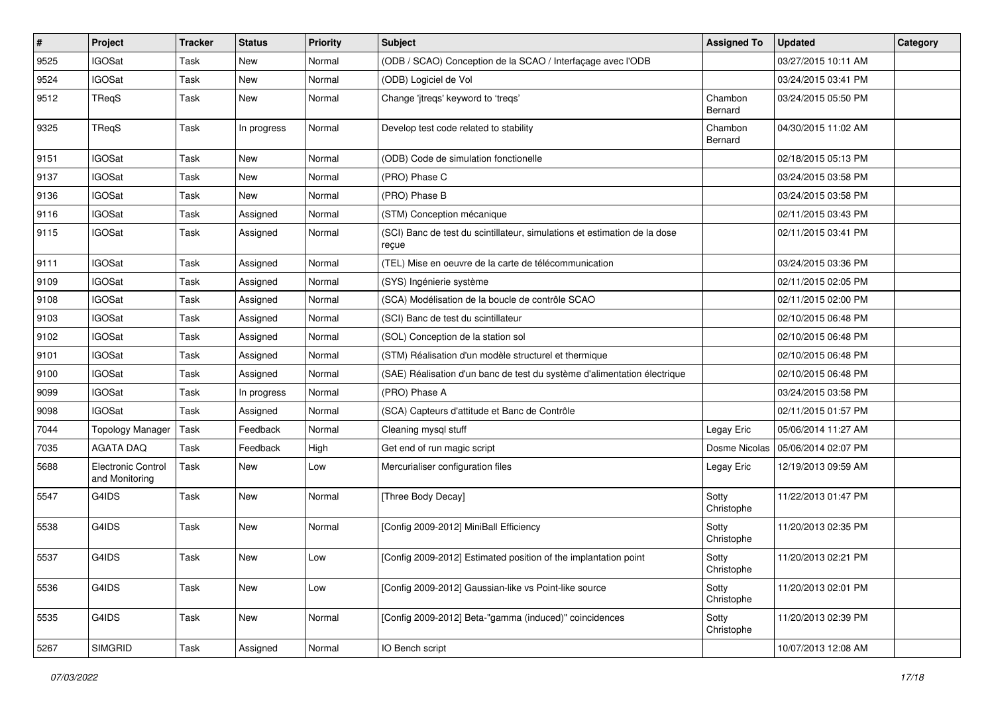| $\vert$ # | Project                              | <b>Tracker</b> | <b>Status</b> | Priority | Subject                                                                            | <b>Assigned To</b>  | <b>Updated</b>      | Category |
|-----------|--------------------------------------|----------------|---------------|----------|------------------------------------------------------------------------------------|---------------------|---------------------|----------|
| 9525      | <b>IGOSat</b>                        | Task           | New           | Normal   | (ODB / SCAO) Conception de la SCAO / Interfaçage avec l'ODB                        |                     | 03/27/2015 10:11 AM |          |
| 9524      | <b>IGOSat</b>                        | <b>Task</b>    | <b>New</b>    | Normal   | (ODB) Logiciel de Vol                                                              |                     | 03/24/2015 03:41 PM |          |
| 9512      | TReqS                                | Task           | New           | Normal   | Change 'jtreqs' keyword to 'treqs'                                                 | Chambon<br>Bernard  | 03/24/2015 05:50 PM |          |
| 9325      | TReqS                                | Task           | In progress   | Normal   | Develop test code related to stability                                             | Chambon<br>Bernard  | 04/30/2015 11:02 AM |          |
| 9151      | <b>IGOSat</b>                        | <b>Task</b>    | New           | Normal   | (ODB) Code de simulation fonctionelle                                              |                     | 02/18/2015 05:13 PM |          |
| 9137      | <b>IGOSat</b>                        | Task           | New           | Normal   | (PRO) Phase C                                                                      |                     | 03/24/2015 03:58 PM |          |
| 9136      | <b>IGOSat</b>                        | Task           | New           | Normal   | (PRO) Phase B                                                                      |                     | 03/24/2015 03:58 PM |          |
| 9116      | <b>IGOSat</b>                        | Task           | Assigned      | Normal   | (STM) Conception mécanique                                                         |                     | 02/11/2015 03:43 PM |          |
| 9115      | <b>IGOSat</b>                        | Task           | Assigned      | Normal   | (SCI) Banc de test du scintillateur, simulations et estimation de la dose<br>reçue |                     | 02/11/2015 03:41 PM |          |
| 9111      | <b>IGOSat</b>                        | <b>Task</b>    | Assigned      | Normal   | (TEL) Mise en oeuvre de la carte de télécommunication                              |                     | 03/24/2015 03:36 PM |          |
| 9109      | <b>IGOSat</b>                        | Task           | Assigned      | Normal   | (SYS) Ingénierie système                                                           |                     | 02/11/2015 02:05 PM |          |
| 9108      | <b>IGOSat</b>                        | Task           | Assigned      | Normal   | (SCA) Modélisation de la boucle de contrôle SCAO                                   |                     | 02/11/2015 02:00 PM |          |
| 9103      | <b>IGOSat</b>                        | Task           | Assigned      | Normal   | (SCI) Banc de test du scintillateur                                                |                     | 02/10/2015 06:48 PM |          |
| 9102      | <b>IGOSat</b>                        | Task           | Assigned      | Normal   | (SOL) Conception de la station sol                                                 |                     | 02/10/2015 06:48 PM |          |
| 9101      | <b>IGOSat</b>                        | Task           | Assigned      | Normal   | (STM) Réalisation d'un modèle structurel et thermique                              |                     | 02/10/2015 06:48 PM |          |
| 9100      | <b>IGOSat</b>                        | Task           | Assigned      | Normal   | (SAE) Réalisation d'un banc de test du système d'alimentation électrique           |                     | 02/10/2015 06:48 PM |          |
| 9099      | <b>IGOSat</b>                        | Task           | In progress   | Normal   | (PRO) Phase A                                                                      |                     | 03/24/2015 03:58 PM |          |
| 9098      | <b>IGOSat</b>                        | Task           | Assigned      | Normal   | (SCA) Capteurs d'attitude et Banc de Contrôle                                      |                     | 02/11/2015 01:57 PM |          |
| 7044      | Topology Manager                     | Task           | Feedback      | Normal   | Cleaning mysql stuff                                                               | Legay Eric          | 05/06/2014 11:27 AM |          |
| 7035      | <b>AGATA DAQ</b>                     | <b>Task</b>    | Feedback      | High     | Get end of run magic script                                                        | Dosme Nicolas       | 05/06/2014 02:07 PM |          |
| 5688      | Electronic Control<br>and Monitoring | Task           | New           | Low      | Mercurialiser configuration files                                                  | Legay Eric          | 12/19/2013 09:59 AM |          |
| 5547      | G4IDS                                | <b>Task</b>    | <b>New</b>    | Normal   | [Three Body Decay]                                                                 | Sotty<br>Christophe | 11/22/2013 01:47 PM |          |
| 5538      | G4IDS                                | Task           | New           | Normal   | [Config 2009-2012] MiniBall Efficiency                                             | Sotty<br>Christophe | 11/20/2013 02:35 PM |          |
| 5537      | G4IDS                                | Task           | New           | Low      | [Config 2009-2012] Estimated position of the implantation point                    | Sotty<br>Christophe | 11/20/2013 02:21 PM |          |
| 5536      | G4IDS                                | Task           | New           | Low      | [Config 2009-2012] Gaussian-like vs Point-like source                              | Sotty<br>Christophe | 11/20/2013 02:01 PM |          |
| 5535      | G4IDS                                | Task           | New           | Normal   | [Config 2009-2012] Beta-"gamma (induced)" coincidences                             | Sotty<br>Christophe | 11/20/2013 02:39 PM |          |
| 5267      | <b>SIMGRID</b>                       | Task           | Assigned      | Normal   | IO Bench script                                                                    |                     | 10/07/2013 12:08 AM |          |